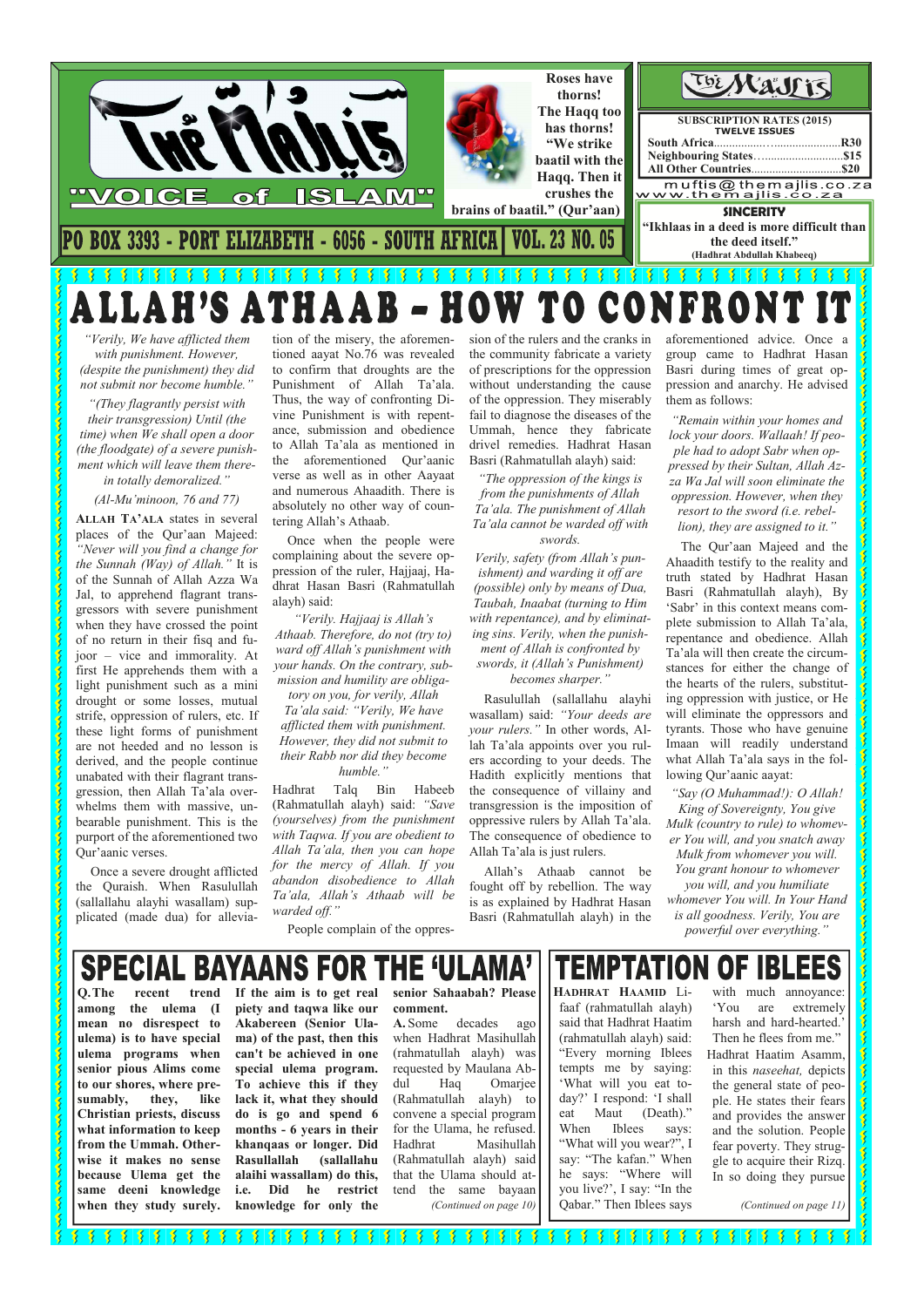

*"Verily, We have afflicted them with punishment. However, (despite the punishment) they did not submit nor become humble."* 

*"(They flagrantly persist with their transgression) Until (the time) when We shall open a door (the floodgate) of a severe punishment which will leave them there-*

*in totally demoralized."* 

*(Al-Mu'minoon, 76 and 77)* 

**ALLAH TA'ALA** states in several places of the Qur'aan Majeed: *"Never will you find a change for the Sunnah (Way) of Allah."* It is of the Sunnah of Allah Azza Wa Jal, to apprehend flagrant transgressors with severe punishment when they have crossed the point of no return in their fisq and fujoor – vice and immorality. At first He apprehends them with a light punishment such as a mini drought or some losses, mutual strife, oppression of rulers, etc. If these light forms of punishment are not heeded and no lesson is derived, and the people continue unabated with their flagrant transgression, then Allah Ta'ala overwhelms them with massive, unbearable punishment. This is the purport of the aforementioned two Qur'aanic verses.

 Once a severe drought afflicted the Quraish. When Rasulullah (sallallahu alayhi wasallam) supplicated (made dua) for allevia-

tion of the misery, the aforementioned aayat No.76 was revealed to confirm that droughts are the Punishment of Allah Ta'ala. Thus, the way of confronting Divine Punishment is with repentance, submission and obedience to Allah Ta'ala as mentioned in the aforementioned Qur'aanic verse as well as in other Aayaat and numerous Ahaadith. There is absolutely no other way of countering Allah's Athaab.

 Once when the people were complaining about the severe oppression of the ruler, Hajjaaj, Hadhrat Hasan Basri (Rahmatullah alayh) said:

*"Verily. Hajjaaj is Allah's Athaab. Therefore, do not (try to) ward off Allah's punishment with your hands. On the contrary, submission and humility are obliga-*

*tory on you, for verily, Allah Ta'ala said: "Verily, We have afflicted them with punishment. However, they did not submit to their Rabb nor did they become humble."* 

Hadhrat Talq Bin Habeeb (Rahmatullah alayh) said: *"Save (yourselves) from the punishment with Taqwa. If you are obedient to Allah Ta'ala, then you can hope for the mercy of Allah. If you abandon disobedience to Allah Ta'ala, Allah's Athaab will be warded off."* 

People complain of the oppres-

sion of the rulers and the cranks in the community fabricate a variety of prescriptions for the oppression without understanding the cause of the oppression. They miserably fail to diagnose the diseases of the Ummah, hence they fabricate drivel remedies. Hadhrat Hasan Basri (Rahmatullah alayh) said:

**SPECIAL BAYAANS FOR THE 'ULAMA' If the aim is to get real piety and taqwa like our Akabereen (Senior Ulama) of the past, then this can't be achieved in one special ulema program. To achieve this if they lack it, what they should do is go and spend 6 months - 6 years in their khanqaas or longer. Did Rasullallah (sallallahu alaihi wassallam) do this, i.e. Did he restrict** 

*"The oppression of the kings is from the punishments of Allah Ta'ala. The punishment of Allah Ta'ala cannot be warded off with swords.* 

*Verily, safety (from Allah's punishment) and warding it off are (possible) only by means of Dua, Taubah, Inaabat (turning to Him with repentance), and by eliminating sins. Verily, when the punish-*

*ment of Allah is confronted by swords, it (Allah's Punishment) becomes sharper."* 

 Rasulullah (sallallahu alayhi wasallam) said: *"Your deeds are your rulers."* In other words, Allah Ta'ala appoints over you rulers according to your deeds. The Hadith explicitly mentions that the consequence of villainy and transgression is the imposition of oppressive rulers by Allah Ta'ala. The consequence of obedience to Allah Ta'ala is just rulers.

 Allah's Athaab cannot be fought off by rebellion. The way is as explained by Hadhrat Hasan Basri (Rahmatullah alayh) in the aforementioned advice. Once a group came to Hadhrat Hasan Basri during times of great oppression and anarchy. He advised them as follows:

*"Remain within your homes and lock your doors. Wallaah! If people had to adopt Sabr when oppressed by their Sultan, Allah Azza Wa Jal will soon eliminate the oppression. However, when they resort to the sword (i.e. rebellion), they are assigned to it."* 

 The Qur'aan Majeed and the Ahaadith testify to the reality and truth stated by Hadhrat Hasan Basri (Rahmatullah alayh), By 'Sabr' in this context means complete submission to Allah Ta'ala, repentance and obedience. Allah Ta'ala will then create the circumstances for either the change of the hearts of the rulers, substituting oppression with justice, or He will eliminate the oppressors and tyrants. Those who have genuine Imaan will readily understand what Allah Ta'ala says in the following Qur'aanic aayat:

*"Say (O Muhammad!): O Allah!* 

*King of Sovereignty, You give Mulk (country to rule) to whomever You will, and you snatch away Mulk from whomever you will. You grant honour to whomever you will, and you humiliate whomever You will. In Your Hand* 

*is all goodness. Verily, You are powerful over everything."*

**TEMPTATION OF IBLEES** 

**Q. The recent trend among the ulema (I mean no disrespect to ulema) is to have special ulema programs when senior pious Alims come to our shores, where presumably, they, like Christian priests, discuss what information to keep from the Ummah. Otherwise it makes no sense because Ulema get the same deeni knowledge when they study surely.** 

 $\mathbf{S}$  $\tilde{\mathbf{z}}$  $\overline{\mathbf{3}}$ Ś Ś

Š Ş

**AND STAR** 

S

**knowledge for only the** 

**senior Sahaabah? Please comment.** 

**A.** Some decades ago when Hadhrat Masihullah (rahmatullah alayh) was requested by Maulana Abdul Haq Omarjee (Rahmatullah alayh) to convene a special program for the Ulama, he refused. Hadhrat Masihullah (Rahmatullah alayh) said that the Ulama should attend the same bayaan *(Continued on page 10)* 

**HADHRAT HAAMID** Lifaaf (rahmatullah alayh) said that Hadhrat Haatim (rahmatullah alayh) said: "Every morning Iblees tempts me by saying: 'What will you eat today?' I respond: 'I shall eat Maut (Death)." When Iblees says: "What will you wear?", I say: "The kafan." When he says: "Where will you live?', I say: "In the Qabar." Then Iblees says

with much annoyance: 'You are extremely harsh and hard-hearted. Then he flees from me." Hadhrat Haatim Asamm, in this *naseehat,* depicts the general state of people. He states their fears and provides the answer and the solution. People fear poverty. They struggle to acquire their Rizq. In so doing they pursue

*(Continued on page 11)* 

٢  $\frac{1}{2}$   $\frac{1}{2}$   $\frac{1}{2}$   $\frac{1}{2}$   $\frac{1}{2}$   $\frac{1}{2}$   $\frac{1}{2}$  $\frac{1}{2}$   $\frac{1}{2}$   $\frac{1}{2}$  $\frac{1}{3}$   $\frac{1}{3}$   $\frac{1}{3}$  $\frac{1}{2}$  $\frac{1}{3}$  $\frac{1}{2}$  $\sqrt{\frac{2}{3}}$  $\frac{1}{2}$ 3 Ķ  $\mathbf{X}$  $\mathbf{X}$ 爹  $\frac{1}{2}$ Ķ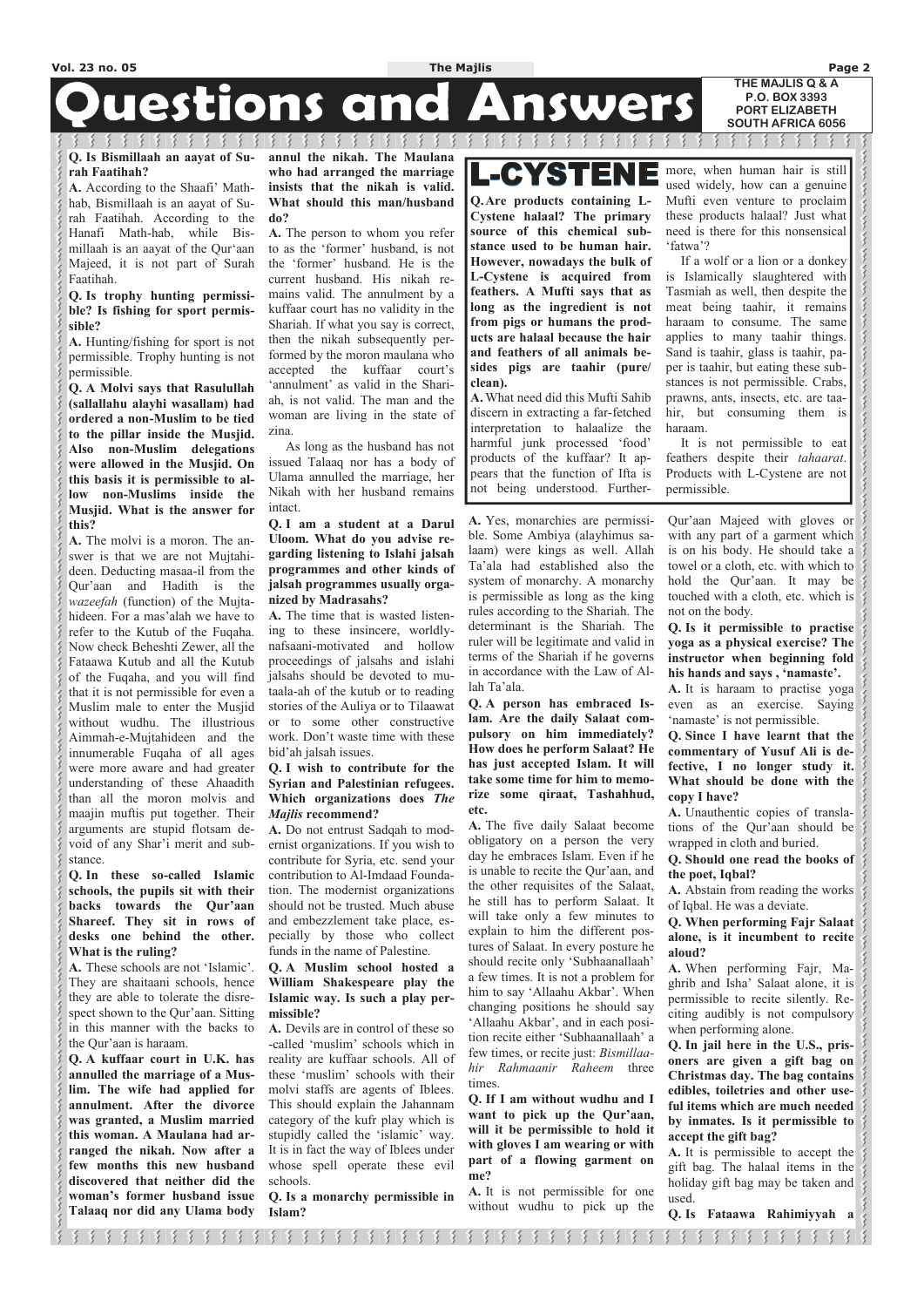### **Questions and** Answers

₹

 $\mathcal{S}$   $\mathcal{S}$   $\mathcal{S}$ 

 $\mathcal{E} \times \mathcal{E} \times \mathcal{E}$ 3

#### **Q. Is Bismillaah an aayat of Surah Faatihah?**

**A.** According to the Shaafi' Mathhab, Bismillaah is an aayat of Surah Faatihah. According to the Hanafi Math-hab, while Bismillaah is an aayat of the Qur'aan Majeed, it is not part of Surah Faatihah.

#### **Q. Is trophy hunting permissible? Is fishing for sport permissible?**

**A.** Hunting/fishing for sport is not permissible. Trophy hunting is not permissible.

**Q. A Molvi says that Rasulullah (sallallahu alayhi wasallam) had ordered a non-Muslim to be tied to the pillar inside the Musjid. Also non-Muslim delegations were allowed in the Musjid. On this basis it is permissible to allow non-Muslims inside the Musjid. What is the answer for this?** 

**A.** The molvi is a moron. The answer is that we are not Mujtahideen. Deducting masaa-il from the Qur'aan and Hadith is the *wazeefah* (function) of the Mujtahideen. For a mas'alah we have to refer to the Kutub of the Fuqaha. Now check Beheshti Zewer, all the Fataawa Kutub and all the Kutub of the Fuqaha, and you will find that it is not permissible for even a Muslim male to enter the Musjid without wudhu. The illustrious Aimmah-e-Mujtahideen and the innumerable Fuqaha of all ages were more aware and had greater understanding of these Ahaadith than all the moron molvis and maajin muftis put together. Their arguments are stupid flotsam devoid of any Shar'i merit and substance.

**Q. In these so-called Islamic schools, the pupils sit with their backs towards the Qur'aan Shareef. They sit in rows of desks one behind the other. What is the ruling?** 

they are able to tolerate the disrespect shown to the Qur'aan. Sitting in this manner with the backs to the Qur'aan is haraam.

**Q. A kuffaar court in U.K. has annulled the marriage of a Muslim. The wife had applied for annulment. After the divorce was granted, a Muslim married this woman. A Maulana had arranged the nikah. Now after a few months this new husband discovered that neither did the woman's former husband issue Talaaq nor did any Ulama body**  **annul the nikah. The Maulana who had arranged the marriage insists that the nikah is valid. What should this man/husband do?** 

**A.** The person to whom you refer to as the 'former' husband, is not the 'former' husband. He is the current husband. His nikah remains valid. The annulment by a kuffaar court has no validity in the Shariah. If what you say is correct, then the nikah subsequently performed by the moron maulana who accepted the kuffaar court's 'annulment' as valid in the Shariah, is not valid. The man and the woman are living in the state of zina.

**A.** These schools are not 'Islamic'. They are shaitaani schools, hence **William Shakespeare play the** 

 As long as the husband has not issued Talaaq nor has a body of Ulama annulled the marriage, her Nikah with her husband remains intact.

#### **Q. I am a student at a Darul Uloom. What do you advise regarding listening to Islahi jalsah programmes and other kinds of jalsah programmes usually organized by Madrasahs?**

**A.** The time that is wasted listening to these insincere, worldlynafsaani-motivated and hollow proceedings of jalsahs and islahi jalsahs should be devoted to mutaala-ah of the kutub or to reading stories of the Auliya or to Tilaawat or to some other constructive work. Don't waste time with these bid'ah jalsah issues.

#### **Q. I wish to contribute for the Syrian and Palestinian refugees. Which organizations does** *The Majlis* **recommend?**

**A.** Do not entrust Sadqah to modernist organizations. If you wish to contribute for Syria, etc. send your contribution to Al-Imdaad Foundation. The modernist organizations should not be trusted. Much abuse and embezzlement take place, especially by those who collect funds in the name of Palestine.

**Q. A Muslim school hosted a** 

# **L-CYSTENE**

**Islamic way. Is such a play permissible?** 

**A.** Devils are in control of these so -called 'muslim' schools which in reality are kuffaar schools. All of these 'muslim' schools with their molvi staffs are agents of Iblees. This should explain the Jahannam category of the kufr play which is stupidly called the 'islamic' way. It is in fact the way of Iblees under whose spell operate these evil schools.

**Q. Is a monarchy permissible in Islam?** 

**A.** Yes, monarchies are permissible. Some Ambiya (alayhimus salaam) were kings as well. Allah Ta'ala had established also the system of monarchy. A monarchy is permissible as long as the king rules according to the Shariah. The determinant is the Shariah. The ruler will be legitimate and valid in terms of the Shariah if he governs in accordance with the Law of Allah Ta'ala.

**Q. A person has embraced Islam. Are the daily Salaat compulsory on him immediately? How does he perform Salaat? He has just accepted Islam. It will take some time for him to memorize some qiraat, Tashahhud, etc.** 

**A.** The five daily Salaat become obligatory on a person the very day he embraces Islam. Even if he is unable to recite the Qur'aan, and the other requisites of the Salaat, he still has to perform Salaat. It will take only a few minutes to explain to him the different postures of Salaat. In every posture he should recite only 'Subhaanallaah' a few times. It is not a problem for him to say 'Allaahu Akbar'. When changing positions he should say 'Allaahu Akbar', and in each position recite either 'Subhaanallaah' a few times, or recite just: *Bismillaahir Rahmaanir Raheem* three times. **Q. If I am without wudhu and I want to pick up the Qur'aan, will it be permissible to hold it with gloves I am wearing or with part of a flowing garment on me?** 

**A.** It is not permissible for one without wudhu to pick up the

Qur'aan Majeed with gloves or with any part of a garment which is on his body. He should take a towel or a cloth, etc. with which to hold the Qur'aan. It may be touched with a cloth, etc. which is not on the body.

**Q. Is it permissible to practise yoga as a physical exercise? The instructor when beginning fold his hands and says , 'namaste'.** 

**A.** It is haraam to practise yoga even as an exercise. Saying 'namaste' is not permissible.

**Q. Since I have learnt that the commentary of Yusuf Ali is defective, I no longer study it. What should be done with the copy I have?** 

**A.** Unauthentic copies of translations of the Qur'aan should be wrapped in cloth and buried.

**Q. Should one read the books of the poet, Iqbal?** 

**A.** Abstain from reading the works of Iqbal. He was a deviate.

**Q. When performing Fajr Salaat alone, is it incumbent to recite aloud?** 

**A.** When performing Fajr, Maghrib and Isha' Salaat alone, it is permissible to recite silently. Reciting audibly is not compulsory when performing alone. **Q. In jail here in the U.S., prisoners are given a gift bag on Christmas day. The bag contains edibles, toiletries and other useful items which are much needed by inmates. Is it permissible to accept the gift bag? A.** It is permissible to accept the gift bag. The halaal items in the holiday gift bag may be taken and used.

くら くら くら くら くら くら くら くら くら くら くら くら

**Q. Is Fataawa Rahimiyyah a** 

3 3 3 3 3 3 3 3 3 3 3 3 8 8 8 8 8 8 8 8 8 8 8 8 8 8  $\sum_{i=1}^{n}$  $\mathcal{L}_{\mathcal{L}}$  $\left\{ \right\}$ ş. ₹

**Q. Are products containing L-Cystene halaal? The primary source of this chemical substance used to be human hair. However, nowadays the bulk of L-Cystene is acquired from feathers. A Mufti says that as long as the ingredient is not from pigs or humans the products are halaal because the hair and feathers of all animals besides pigs are taahir (pure/ clean).** 

**A.** What need did this Mufti Sahib discern in extracting a far-fetched interpretation to halaalize the harmful junk processed 'food' products of the kuffaar? It appears that the function of Ifta is not being understood. Furthermore, when human hair is still used widely, how can a genuine Mufti even venture to proclaim these products halaal? Just what need is there for this nonsensical 'fatwa'?

 If a wolf or a lion or a donkey is Islamically slaughtered with Tasmiah as well, then despite the meat being taahir, it remains haraam to consume. The same applies to many taahir things. Sand is taahir, glass is taahir, paper is taahir, but eating these substances is not permissible. Crabs, prawns, ants, insects, etc. are taahir, but consuming them is haraam.

 It is not permissible to eat feathers despite their *tahaarat*. Products with L-Cystene are not permissible.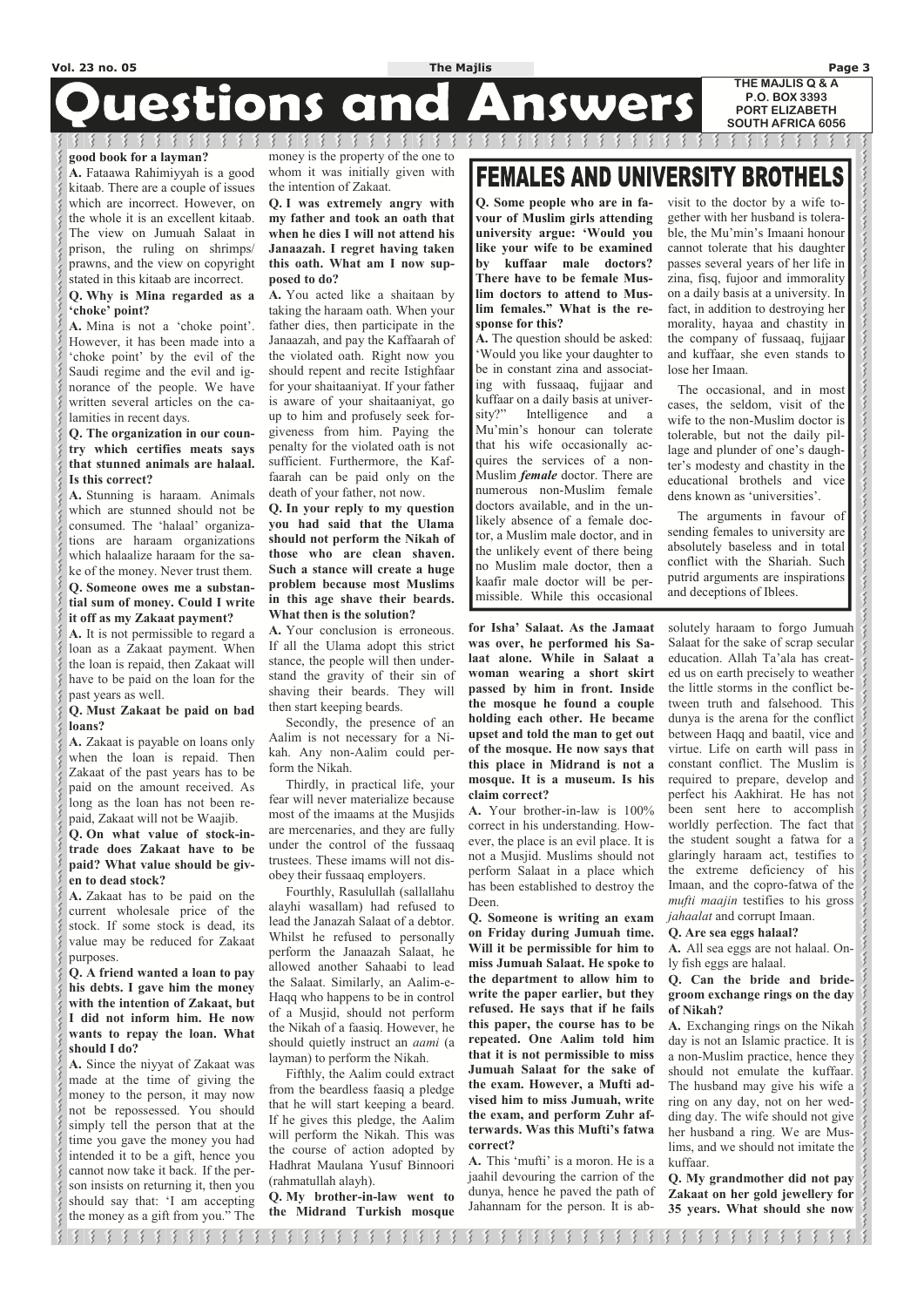# **Questions and Answers**

#### **good book for a layman?**

**A.** Fataawa Rahimiyyah is a good kitaab. There are a couple of issues which are incorrect. However, on the whole it is an excellent kitaab. The view on Jumuah Salaat in prison, the ruling on shrimps/ prawns, and the view on copyright stated in this kitaab are incorrect.

#### **Q. Why is Mina regarded as a 'choke' point?**

**A.** Mina is not a 'choke point'. However, it has been made into a 'choke point' by the evil of the Saudi regime and the evil and ignorance of the people. We have written several articles on the calamities in recent days.

#### **Q. The organization in our country which certifies meats says that stunned animals are halaal. Is this correct?**

**A.** Stunning is haraam. Animals which are stunned should not be consumed. The 'halaal' organizations are haraam organizations which halaalize haraam for the sake of the money. Never trust them. **Q. Someone owes me a substantial sum of money. Could I write it off as my Zakaat payment?** 

**A.** It is not permissible to regard a loan as a Zakaat payment. When the loan is repaid, then Zakaat will have to be paid on the loan for the past years as well.

#### **Q. Must Zakaat be paid on bad loans?**

**A.** Zakaat is payable on loans only when the loan is repaid. Then Zakaat of the past years has to be paid on the amount received. As long as the loan has not been repaid, Zakaat will not be Waajib.

**Q. On what value of stock-intrade does Zakaat have to be paid? What value should be given to dead stock?** 

**A.** Zakaat has to be paid on the current wholesale price of the stock. If some stock is dead, its value may be reduced for Zakaat purposes.

**Q. A friend wanted a loan to pay his debts. I gave him the money with the intention of Zakaat, but I did not inform him. He now wants to repay the loan. What should I do? A.** Since the niyyat of Zakaat was made at the time of giving the money to the person, it may now not be repossessed. You should simply tell the person that at the time you gave the money you had intended it to be a gift, hence you cannot now take it back. If the person insists on returning it, then you should say that: 'I am accepting the money as a gift from you." The

money is the property of the one to whom it was initially given with the intention of Zakaat.

**Q. I was extremely angry with my father and took an oath that when he dies I will not attend his Janaazah. I regret having taken this oath. What am I now supposed to do?** 

**A.** You acted like a shaitaan by taking the haraam oath. When your father dies, then participate in the Janaazah, and pay the Kaffaarah of the violated oath. Right now you should repent and recite Istighfaar for your shaitaaniyat. If your father is aware of your shaitaaniyat, go up to him and profusely seek forgiveness from him. Paying the penalty for the violated oath is not sufficient. Furthermore, the Kaffaarah can be paid only on the death of your father, not now.

**Q. In your reply to my question you had said that the Ulama should not perform the Nikah of those who are clean shaven. Such a stance will create a huge problem because most Muslims in this age shave their beards. What then is the solution?** 

**A.** Your conclusion is erroneous. If all the Ulama adopt this strict stance, the people will then understand the gravity of their sin of shaving their beards. They will then start keeping beards.

 Secondly, the presence of an Aalim is not necessary for a Nikah. Any non-Aalim could perform the Nikah.

 Thirdly, in practical life, your fear will never materialize because most of the imaams at the Musjids are mercenaries, and they are fully under the control of the fussaaq trustees. These imams will not disobey their fussaaq employers.

 Fourthly, Rasulullah (sallallahu alayhi wasallam) had refused to lead the Janazah Salaat of a debtor. Whilst he refused to personally perform the Janaazah Salaat, he allowed another Sahaabi to lead the Salaat. Similarly, an Aalim-e-Haqq who happens to be in control of a Musjid, should not perform the Nikah of a faasiq. However, he should quietly instruct an *aami* (a layman) to perform the Nikah. Fifthly, the Aalim could extract from the beardless faasiq a pledge that he will start keeping a beard. If he gives this pledge, the Aalim will perform the Nikah. This was the course of action adopted by Hadhrat Maulana Yusuf Binnoori (rahmatullah alayh).

# **FEMALES AND UNIVERSITY BROTHELS**

**Q. My brother-in-law went to the Midrand Turkish mosque**  **for Isha' Salaat. As the Jamaat was over, he performed his Salaat alone. While in Salaat a woman wearing a short skirt passed by him in front. Inside the mosque he found a couple holding each other. He became upset and told the man to get out of the mosque. He now says that this place in Midrand is not a mosque. It is a museum. Is his claim correct?** 

**A.** Your brother-in-law is 100% correct in his understanding. However, the place is an evil place. It is not a Musjid. Muslims should not perform Salaat in a place which has been established to destroy the Deen.

**Q. Someone is writing an exam on Friday during Jumuah time. Will it be permissible for him to miss Jumuah Salaat. He spoke to the department to allow him to write the paper earlier, but they refused. He says that if he fails this paper, the course has to be repeated. One Aalim told him that it is not permissible to miss Jumuah Salaat for the sake of the exam. However, a Mufti advised him to miss Jumuah, write the exam, and perform Zuhr afterwards. Was this Mufti's fatwa correct? A.** This 'mufti' is a moron. He is a jaahil devouring the carrion of the dunya, hence he paved the path of Jahannam for the person. It is ab-

solutely haraam to forgo Jumuah Salaat for the sake of scrap secular education. Allah Ta'ala has created us on earth precisely to weather the little storms in the conflict between truth and falsehood. This dunya is the arena for the conflict between Haqq and baatil, vice and virtue. Life on earth will pass in constant conflict. The Muslim is required to prepare, develop and perfect his Aakhirat. He has not been sent here to accomplish worldly perfection. The fact that the student sought a fatwa for a glaringly haraam act, testifies to the extreme deficiency of his Imaan, and the copro-fatwa of the *mufti maajin* testifies to his gross *jahaalat* and corrupt Imaan.

#### **Q. Are sea eggs halaal?**

**A.** All sea eggs are not halaal. Only fish eggs are halaal.

**Q. Can the bride and bride-**

こく くら くら くら くら くら くら くら くら くら くら くら

くらくらくらくらくらくらくらく

くらくらくらくらくらく

**groom exchange rings on the day of Nikah?** 

**A.** Exchanging rings on the Nikah day is not an Islamic practice. It is a non-Muslim practice, hence they should not emulate the kuffaar. The husband may give his wife a ring on any day, not on her wedding day. The wife should not give her husband a ring. We are Muslims, and we should not imitate the kuffaar.

**Q. My grandmother did not pay Zakaat on her gold jewellery for 35 years. What should she now** 

|| 8 8 8 8 8 8 8 8 8 8 8  $\left\{ \right\}$ うちうろうちうろうろ 3

**Q. Some people who are in favour of Muslim girls attending university argue: 'Would you like your wife to be examined by kuffaar male doctors? There have to be female Muslim doctors to attend to Muslim females." What is the response for this?** 

**A.** The question should be asked: 'Would you like your daughter to be in constant zina and associating with fussaaq, fujjaar and kuffaar on a daily basis at university?" Intelligence and a Mu'min's honour can tolerate that his wife occasionally acquires the services of a non-Muslim *female* doctor. There are numerous non-Muslim female doctors available, and in the unlikely absence of a female doctor, a Muslim male doctor, and in the unlikely event of there being no Muslim male doctor, then a kaafir male doctor will be permissible. While this occasional

visit to the doctor by a wife together with her husband is tolerable, the Mu'min's Imaani honour cannot tolerate that his daughter passes several years of her life in zina, fisq, fujoor and immorality on a daily basis at a university. In fact, in addition to destroying her morality, hayaa and chastity in the company of fussaaq, fujjaar and kuffaar, she even stands to lose her Imaan.

 The occasional, and in most cases, the seldom, visit of the wife to the non-Muslim doctor is tolerable, but not the daily pillage and plunder of one's daughter's modesty and chastity in the educational brothels and vice dens known as 'universities'.

 The arguments in favour of sending females to university are absolutely baseless and in total conflict with the Shariah. Such putrid arguments are inspirations and deceptions of Iblees.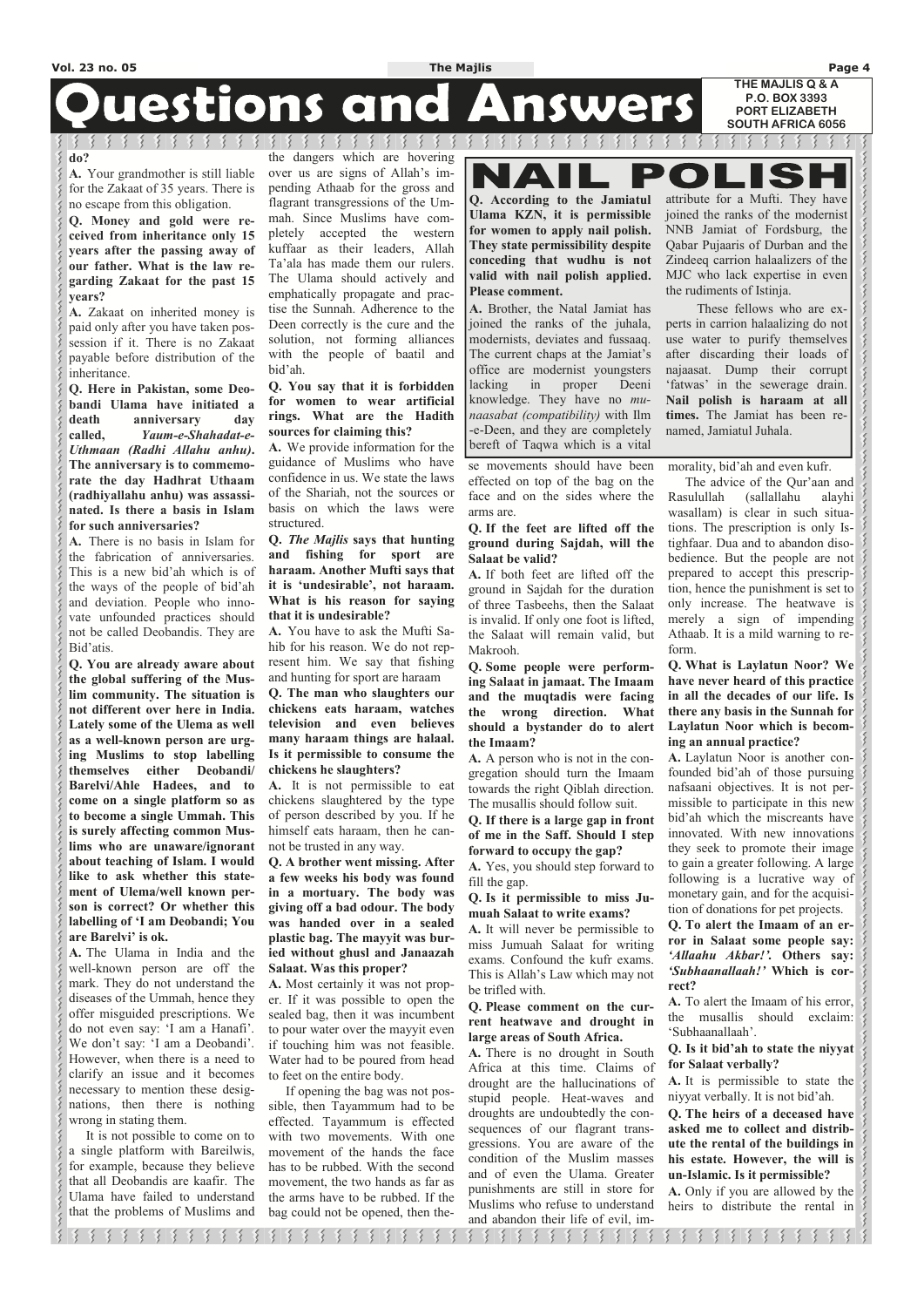# **Questions and Answers**

 $\mathcal{R}$  and  $\mathcal{R}$ 

#### **do?**

**A.** Your grandmother is still liable for the Zakaat of 35 years. There is no escape from this obligation.

**Q. Money and gold were received from inheritance only 15 years after the passing away of our father. What is the law regarding Zakaat for the past 15 years?** 

**A.** Zakaat on inherited money is paid only after you have taken possession if it. There is no Zakaat payable before distribution of the inheritance.

**Q. Here in Pakistan, some Deobandi Ulama have initiated a death anniversary day called,** *Yaum-e-Shahadat-e-Uthmaan (Radhi Allahu anhu)***. The anniversary is to commemorate the day Hadhrat Uthaam (radhiyallahu anhu) was assassinated. Is there a basis in Islam for such anniversaries?** 

**A.** There is no basis in Islam for the fabrication of anniversaries. This is a new bid'ah which is of the ways of the people of bid'ah and deviation. People who innovate unfounded practices should not be called Deobandis. They are Bid'atis.

**Q. You are already aware about the global suffering of the Muslim community. The situation is not different over here in India. Lately some of the Ulema as well as a well-known person are urging Muslims to stop labelling themselves either Deobandi/ Barelvi/Ahle Hadees, and to come on a single platform so as to become a single Ummah. This is surely affecting common Muslims who are unaware/ignorant about teaching of Islam. I would like to ask whether this statement of Ulema/well known person is correct? Or whether this labelling of 'I am Deobandi; You are Barelvi' is ok.** 

**A.** The Ulama in India and the well-known person are off the mark. They do not understand the diseases of the Ummah, hence they offer misguided prescriptions. We do not even say: 'I am a Hanafi'. We don't say: 'I am a Deobandi'. However, when there is a need to clarify an issue and it becomes necessary to mention these designations, then there is nothing wrong in stating them. It is not possible to come on to a single platform with Bareilwis, for example, because they believe that all Deobandis are kaafir. The Ulama have failed to understand that the problems of Muslims and

the dangers which are hovering over us are signs of Allah's impending Athaab for the gross and flagrant transgressions of the Ummah. Since Muslims have completely accepted the western kuffaar as their leaders, Allah Ta'ala has made them our rulers. The Ulama should actively and emphatically propagate and practise the Sunnah. Adherence to the Deen correctly is the cure and the solution, not forming alliances with the people of baatil and bid'ah.

#### **Q. You say that it is forbidden for women to wear artificial rings. What are the Hadith sources for claiming this?**

**A.** We provide information for the guidance of Muslims who have confidence in us. We state the laws of the Shariah, not the sources or basis on which the laws were structured.

**Q.** *The Majlis* **says that hunting and fishing for sport are haraam. Another Mufti says that it is 'undesirable', not haraam. What is his reason for saying that it is undesirable?** 

**A.** You have to ask the Mufti Sahib for his reason. We do not represent him. We say that fishing and hunting for sport are haraam

**Q. The man who slaughters our chickens eats haraam, watches television and even believes many haraam things are halaal. Is it permissible to consume the chickens he slaughters?** 

**A.** It is not permissible to eat chickens slaughtered by the type of person described by you. If he himself eats haraam, then he cannot be trusted in any way.

**Q. A brother went missing. After a few weeks his body was found in a mortuary. The body was giving off a bad odour. The body was handed over in a sealed plastic bag. The mayyit was buried without ghusl and Janaazah Salaat. Was this proper?** 

**A.** Most certainly it was not prop-

er. If it was possible to open the sealed bag, then it was incumbent to pour water over the mayyit even if touching him was not feasible. Water had to be poured from head to feet on the entire body.

 If opening the bag was not possible, then Tayammum had to be effected. Tayammum is effected with two movements. With one movement of the hands the face has to be rubbed. With the second movement, the two hands as far as the arms have to be rubbed. If the bag could not be opened, then these movements should have been effected on top of the bag on the face and on the sides where the

arms are.

**Q. If the feet are lifted off the ground during Sajdah, will the** 

**Salaat be valid?** 

**A.** If both feet are lifted off the ground in Sajdah for the duration of three Tasbeehs, then the Salaat is invalid. If only one foot is lifted, the Salaat will remain valid, but

Makrooh.

**Q. Some people were performing Salaat in jamaat. The Imaam and the muqtadis were facing the wrong direction. What should a bystander do to alert** 

**the Imaam?** 

**A.** A person who is not in the congregation should turn the Imaam towards the right Qiblah direction. The musallis should follow suit. **Q. If there is a large gap in front of me in the Saff. Should I step** 

**forward to occupy the gap?** 

**A.** Yes, you should step forward to

fill the gap.

**Q. Is it permissible to miss Jumuah Salaat to write exams? A.** It will never be permissible to miss Jumuah Salaat for writing exams. Confound the kufr exams. This is Allah's Law which may not

be trifled with.

**Q. Please comment on the current heatwave and drought in large areas of South Africa.** 

**A.** There is no drought in South Africa at this time. Claims of drought are the hallucinations of stupid people. Heat-waves and droughts are undoubtedly the consequences of our flagrant transgressions. You are aware of the condition of the Muslim masses and of even the Ulama. Greater punishments are still in store for Muslims who refuse to understand and abandon their life of evil, im-

morality, bid'ah and even kufr.

 The advice of the Qur'aan and Rasulullah (sallallahu alayhi wasallam) is clear in such situations. The prescription is only Istighfaar. Dua and to abandon disobedience. But the people are not prepared to accept this prescription, hence the punishment is set to only increase. The heatwave is merely a sign of impending Athaab. It is a mild warning to reform.

**Q. What is Laylatun Noor? We have never heard of this practice in all the decades of our life. Is there any basis in the Sunnah for Laylatun Noor which is becoming an annual practice?** 

**A.** Laylatun Noor is another confounded bid'ah of those pursuing nafsaani objectives. It is not permissible to participate in this new bid'ah which the miscreants have innovated. With new innovations they seek to promote their image to gain a greater following. A large following is a lucrative way of monetary gain, and for the acquisition of donations for pet projects.

**Q. To alert the Imaam of an error in Salaat some people say:**  *'Allaahu Akbar!'.* **Others say:**  *'Subhaanallaah!'* **Which is correct? A.** To alert the Imaam of his error, the musallis should exclaim: 'Subhaanallaah'.

**Q. Is it bid'ah to state the niyyat for Salaat verbally?** 

**A.** It is permissible to state the niyyat verbally. It is not bid'ah.

**Q. The heirs of a deceased have asked me to collect and distribute the rental of the buildings in his estate. However, the will is un-Islamic. Is it permissible?** 

**A.** Only if you are allowed by the heirs to distribute the rental in

ちちちちちちちちちちち うちうちちちちちちち 8 8 8 8 8 8 8 8 8 8 8 8  $\left\{ \right\}$  $\left\{ \right\}$ -31 -31

**Q. According to the Jamiatul Ulama KZN, it is permissible for women to apply nail polish. They state permissibility despite conceding that wudhu is not valid with nail polish applied. Please comment.** 

**A.** Brother, the Natal Jamiat has joined the ranks of the juhala, modernists, deviates and fussaaq. The current chaps at the Jamiat's office are modernist youngsters lacking in proper Deeni knowledge. They have no *munaasabat (compatibility)* with Ilm -e-Deen, and they are completely bereft of Taqwa which is a vital

attribute for a Mufti. They have joined the ranks of the modernist NNB Jamiat of Fordsburg, the Qabar Pujaaris of Durban and the Zindeeq carrion halaalizers of the MJC who lack expertise in even the rudiments of Istinja.

 $\bullet$ 

 These fellows who are experts in carrion halaalizing do not use water to purify themselves after discarding their loads of najaasat. Dump their corrupt 'fatwas' in the sewerage drain. **Nail polish is haraam at all times.** The Jamiat has been renamed, Jamiatul Juhala.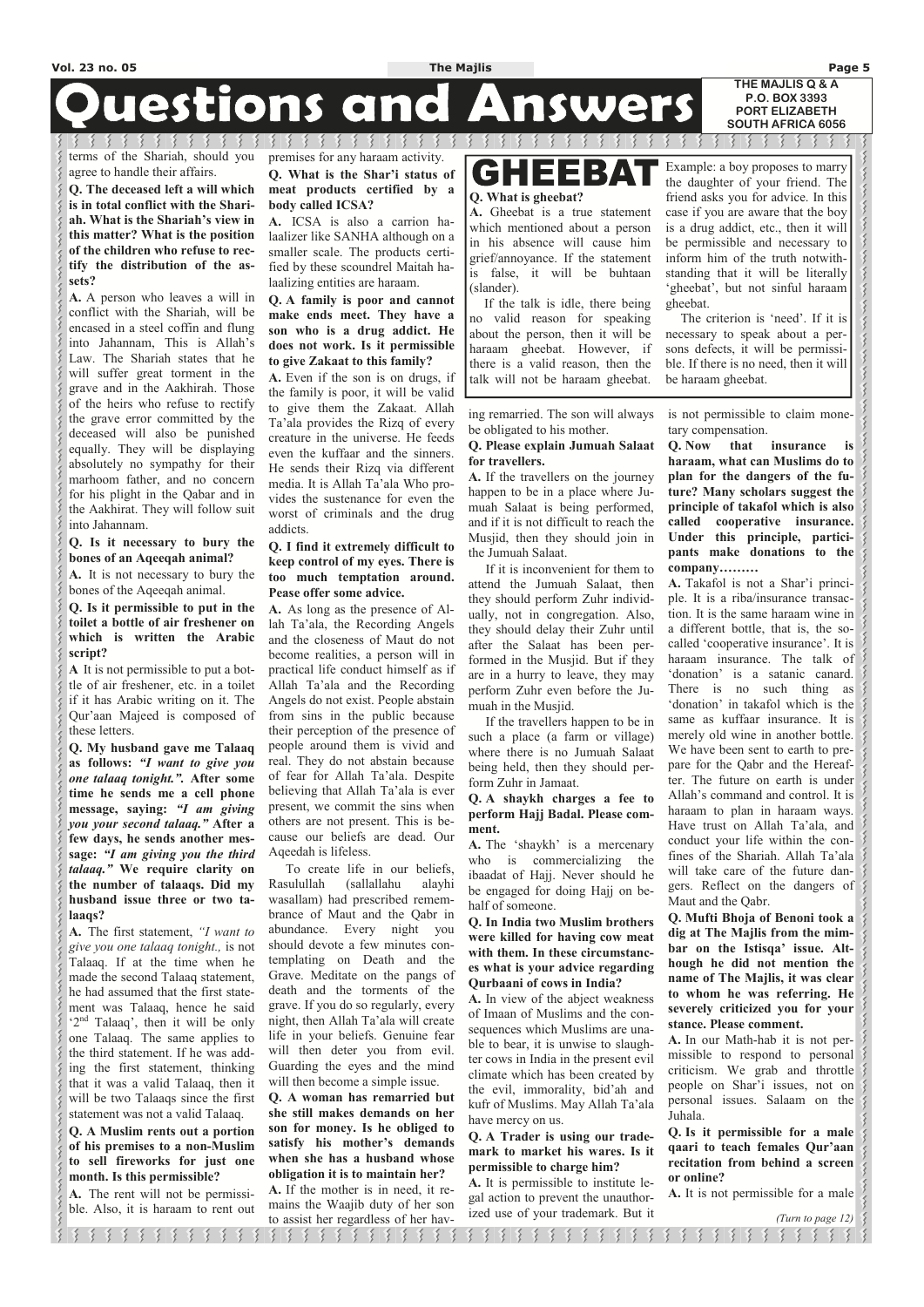# Questions and Answers

terms of the Shariah, should you agree to handle their affairs.

3333333

**Q. The deceased left a will which is in total conflict with the Shariah. What is the Shariah's view in this matter? What is the position of the children who refuse to rectify the distribution of the assets?** 

**A.** A person who leaves a will in conflict with the Shariah, will be encased in a steel coffin and flung into Jahannam, This is Allah's Law. The Shariah states that he will suffer great torment in the grave and in the Aakhirah. Those of the heirs who refuse to rectify the grave error committed by the deceased will also be punished equally. They will be displaying absolutely no sympathy for their marhoom father, and no concern for his plight in the Qabar and in the Aakhirat. They will follow suit into Jahannam.

#### **Q. Is it necessary to bury the bones of an Aqeeqah animal?**

**A.** It is not necessary to bury the bones of the Aqeeqah animal.

**Q. Is it permissible to put in the toilet a bottle of air freshener on which is written the Arabic script?** 

**A** It is not permissible to put a bottle of air freshener, etc. in a toilet if it has Arabic writing on it. The Qur'aan Majeed is composed of these letters.

**Q. My husband gave me Talaaq as follows:** *"I want to give you one talaaq tonight.".* **After some time he sends me a cell phone message, saying:** *"I am giving you your second talaaq."* **After a few days, he sends another message:** *"I am giving you the third talaaq."* **We require clarity on the number of talaaqs. Did my husband issue three or two talaaqs?** 

**A.** The first statement, *"I want to give you one talaaq tonight.,* is not Talaaq. If at the time when he made the second Talaaq statement, he had assumed that the first statement was Talaaq, hence he said  $2<sup>nd</sup>$  Talaaq', then it will be only one Talaaq. The same applies to the third statement. If he was adding the first statement, thinking that it was a valid Talaaq, then it will be two Talaaqs since the first statement was not a valid Talaaq. **Q. A Muslim rents out a portion of his premises to a non-Muslim to sell fireworks for just one month. Is this permissible? A.** The rent will not be permissi-

くくく

 $\left\{\right\}$ 

ble. Also, it is haraam to rent out

premises for any haraam activity. **Q. What is the Shar'i status of** 

3 3 3 3 3 3 3 3 3

**meat products certified by a body called ICSA?** 

**A.** ICSA is also a carrion halaalizer like SANHA although on a smaller scale. The products certified by these scoundrel Maitah halaalizing entities are haraam.

#### **Q. A family is poor and cannot make ends meet. They have a son who is a drug addict. He does not work. Is it permissible to give Zakaat to this family?**

**A.** Even if the son is on drugs, if the family is poor, it will be valid to give them the Zakaat. Allah Ta'ala provides the Rizq of every creature in the universe. He feeds even the kuffaar and the sinners. He sends their Rizq via different media. It is Allah Ta'ala Who provides the sustenance for even the worst of criminals and the drug addicts.

#### **Q. I find it extremely difficult to keep control of my eyes. There is too much temptation around. Pease offer some advice.**

**A.** As long as the presence of Allah Ta'ala, the Recording Angels and the closeness of Maut do not become realities, a person will in practical life conduct himself as if Allah Ta'ala and the Recording Angels do not exist. People abstain from sins in the public because their perception of the presence of people around them is vivid and real. They do not abstain because of fear for Allah Ta'ala. Despite believing that Allah Ta'ala is ever present, we commit the sins when others are not present. This is because our beliefs are dead. Our Aqeedah is lifeless.

### GHEEBA<sup>.</sup> **Q. What is gheebat?**

 To create life in our beliefs, Rasulullah (sallallahu alayhi wasallam) had prescribed remembrance of Maut and the Qabr in abundance. Every night you should devote a few minutes contemplating on Death and the Grave. Meditate on the pangs of death and the torments of the grave. If you do so regularly, every night, then Allah Ta'ala will create life in your beliefs. Genuine fear will then deter you from evil. Guarding the eyes and the mind will then become a simple issue. **Q. A woman has remarried but she still makes demands on her son for money. Is he obliged to satisfy his mother's demands when she has a husband whose obligation it is to maintain her? A.** If the mother is in need, it remains the Waajib duty of her son to assist her regardless of her having remarried. The son will always be obligated to his mother.

#### **Q. Please explain Jumuah Salaat for travellers.**

**A.** If the travellers on the journey happen to be in a place where Jumuah Salaat is being performed, and if it is not difficult to reach the Musjid, then they should join in the Jumuah Salaat.

 If it is inconvenient for them to attend the Jumuah Salaat, then they should perform Zuhr individually, not in congregation. Also, they should delay their Zuhr until after the Salaat has been performed in the Musjid. But if they are in a hurry to leave, they may perform Zuhr even before the Jumuah in the Musjid.

 If the travellers happen to be in such a place (a farm or village) where there is no Jumuah Salaat being held, then they should perform Zuhr in Jamaat.

#### **Q. A shaykh charges a fee to perform Hajj Badal. Please comment.**

**A.** The 'shaykh' is a mercenary who is commercializing the ibaadat of Hajj. Never should he be engaged for doing Hajj on behalf of someone.

**Q. In India two Muslim brothers were killed for having cow meat with them. In these circumstances what is your advice regarding Qurbaani of cows in India? A.** In view of the abject weakness of Imaan of Muslims and the consequences which Muslims are unable to bear, it is unwise to slaughter cows in India in the present evil climate which has been created by the evil, immorality, bid'ah and kufr of Muslims. May Allah Ta'ala have mercy on us. **Q. A Trader is using our trademark to market his wares. Is it permissible to charge him? A.** It is permissible to institute legal action to prevent the unauthor-

ized use of your trademark. But it

is not permissible to claim monetary compensation.

**Q. Now that insurance is haraam, what can Muslims do to plan for the dangers of the future? Many scholars suggest the principle of takafol which is also called cooperative insurance. Under this principle, participants make donations to the company………**

**A.** Takafol is not a Shar'i principle. It is a riba/insurance transaction. It is the same haraam wine in a different bottle, that is, the socalled 'cooperative insurance'. It is haraam insurance. The talk of 'donation' is a satanic canard. There is no such thing as 'donation' in takafol which is the same as kuffaar insurance. It is merely old wine in another bottle. We have been sent to earth to prepare for the Qabr and the Hereafter. The future on earth is under Allah's command and control. It is haraam to plan in haraam ways. Have trust on Allah Ta'ala, and conduct your life within the confines of the Shariah. Allah Ta'ala will take care of the future dangers. Reflect on the dangers of Maut and the Qabr.

**Q. Mufti Bhoja of Benoni took a dig at The Majlis from the mimbar on the Istisqa' issue. Although he did not mention the name of The Majlis, it was clear** 

**to whom he was referring. He severely criticized you for your stance. Please comment.** 

**A.** In our Math-hab it is not permissible to respond to personal criticism. We grab and throttle people on Shar'i issues, not on personal issues. Salaam on the Juhala.

**Q. Is it permissible for a male qaari to teach females Qur'aan recitation from behind a screen or online?** 

**A.** It is not permissible for a male

*(Turn to page 12)*

 $33333333$ 8 8 8 8 8 8 8 8 8 8 8 8 うちちちちちちちちちちち  $3,3,3,3,5$  $\mathcal{R}$ ्  $\frac{1}{2}$  $\left\{ \right\}$  $\mathcal{E}$ 

**A.** Gheebat is a true statement which mentioned about a person in his absence will cause him grief/annoyance. If the statement is false, it will be buhtaan (slander).

 If the talk is idle, there being no valid reason for speaking about the person, then it will be haraam gheebat. However, if there is a valid reason, then the talk will not be haraam gheebat.

Example: a boy proposes to marry the daughter of your friend. The friend asks you for advice. In this case if you are aware that the boy is a drug addict, etc., then it will be permissible and necessary to inform him of the truth notwithstanding that it will be literally 'gheebat', but not sinful haraam gheebat.

 The criterion is 'need'. If it is necessary to speak about a persons defects, it will be permissible. If there is no need, then it will be haraam gheebat.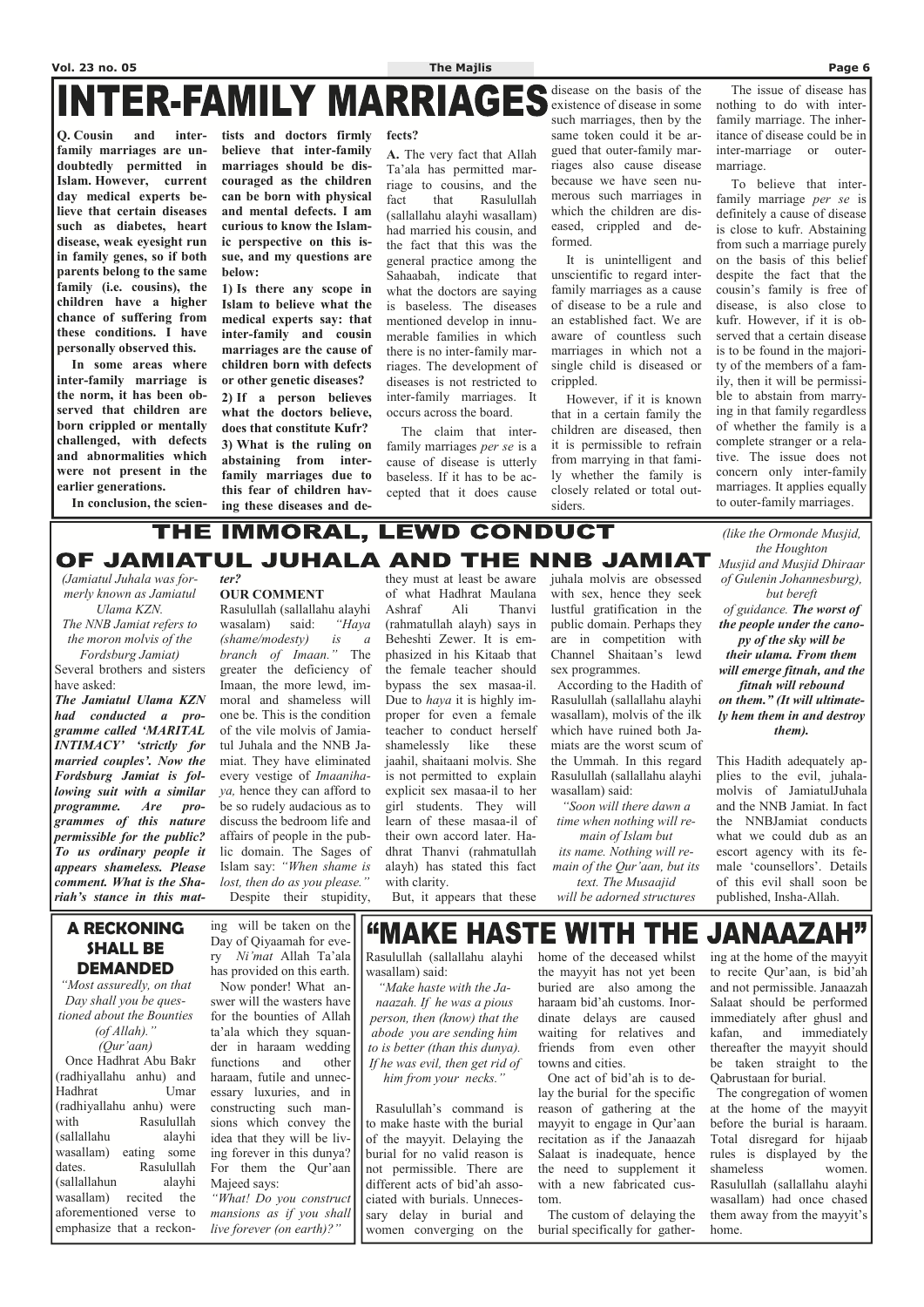**Q. Cousin and interfamily marriages are undoubtedly permitted in Islam. However, current day medical experts believe that certain diseases such as diabetes, heart disease, weak eyesight run in family genes, so if both parents belong to the same family (i.e. cousins), the children have a higher chance of suffering from these conditions. I have personally observed this.** 

 **In some areas where inter-family marriage is the norm, it has been observed that children are born crippled or mentally challenged, with defects and abnormalities which were not present in the earlier generations.** 

 **In conclusion, the scien-**

**tists and doctors firmly believe that inter-family marriages should be discouraged as the children can be born with physical and mental defects. I am curious to know the Islamic perspective on this issue, and my questions are below:** 

**1) Is there any scope in Islam to believe what the medical experts say: that inter-family and cousin marriages are the cause of children born with defects or other genetic diseases? 2) If a person believes what the doctors believe, does that constitute Kufr? 3) What is the ruling on abstaining from interfamily marriages due to this fear of children having these diseases and de-**

**fects?** 

**A.** The very fact that Allah Ta'ala has permitted marriage to cousins, and the fact that Rasulullah (sallallahu alayhi wasallam) had married his cousin, and the fact that this was the general practice among the Sahaabah, indicate that what the doctors are saying is baseless. The diseases mentioned develop in innumerable families in which there is no inter-family marriages. The development of diseases is not restricted to inter-family marriages. It occurs across the board.

 The claim that interfamily marriages *per se* is a cause of disease is utterly baseless. If it has to be accepted that it does cause

disease on the basis of the existence of disease in some such marriages, then by the same token could it be argued that outer-family marriages also cause disease because we have seen numerous such marriages in which the children are diseased, crippled and deformed.

 It is unintelligent and unscientific to regard interfamily marriages as a cause of disease to be a rule and an established fact. We are aware of countless such marriages in which not a single child is diseased or crippled.

 However, if it is known that in a certain family the children are diseased, then it is permissible to refrain from marrying in that family whether the family is closely related or total outsiders.

 The issue of disease has nothing to do with interfamily marriage. The inheritance of disease could be in inter-marriage or outermarriage.

 To believe that interfamily marriage *per se* is definitely a cause of disease is close to kufr. Abstaining from such a marriage purely on the basis of this belief despite the fact that the cousin's family is free of disease, is also close to kufr. However, if it is observed that a certain disease is to be found in the majority of the members of a family, then it will be permissible to abstain from marrying in that family regardless of whether the family is a complete stranger or a relative. The issue does not concern only inter-family marriages. It applies equally to outer-family marriages.

### THE IMMORAL, LEWD CONDUCT OF JAMIATUL JUHALA AND THE NNB JAMIAT

*(Jamiatul Juhala was formerly known as Jamiatul Ulama KZN. The NNB Jamiat refers to* 

*the moron molvis of the Fordsburg Jamiat)* 

Several brothers and sisters have asked:

> "MAKE HASTE WITH THE JANAAZAH" wasallam) said:

*The Jamiatul Ulama KZN had conducted a programme called 'MARITAL INTIMACY' 'strictly for married couples'. Now the Fordsburg Jamiat is following suit with a similar programme. Are programmes of this nature permissible for the public? To us ordinary people it appears shameless. Please comment. What is the Shariah's stance in this mat-*

#### *ter?*  **OUR COMMENT**

Rasulullah (sallallahu alayhi wasalam) said: *"Haya (shame/modesty) is a branch of Imaan."* The greater the deficiency of Imaan, the more lewd, immoral and shameless will one be. This is the condition of the vile molvis of Jamiatul Juhala and the NNB Jamiat. They have eliminated every vestige of *Imaanihaya,* hence they can afford to be so rudely audacious as to discuss the bedroom life and affairs of people in the public domain. The Sages of Islam say: *"When shame is lost, then do as you please."*  Despite their stupidity,

they must at least be aware of what Hadhrat Maulana Ashraf Ali Thanvi (rahmatullah alayh) says in Beheshti Zewer. It is emphasized in his Kitaab that the female teacher should bypass the sex masaa-il. Due to *haya* it is highly improper for even a female teacher to conduct herself shamelessly like these jaahil, shaitaani molvis. She is not permitted to explain explicit sex masaa-il to her girl students. They will learn of these masaa-il of their own accord later. Hadhrat Thanvi (rahmatullah alayh) has stated this fact with clarity.

But, it appears that these

juhala molvis are obsessed with sex, hence they seek lustful gratification in the public domain. Perhaps they are in competition with Channel Shaitaan's lewd sex programmes.

 According to the Hadith of Rasulullah (sallallahu alayhi wasallam), molvis of the ilk which have ruined both Jamiats are the worst scum of the Ummah. In this regard Rasulullah (sallallahu alayhi wasallam) said:

*"Soon will there dawn a time when nothing will re-*

*main of Islam but its name. Nothing will remain of the Qur'aan, but its text. The Musaajid will be adorned structures* 

*(like the Ormonde Musjid, the Houghton Musjid and Musjid Dhiraar of Gulenin Johannesburg), but bereft of guidance. The worst of the people under the canopy of the sky will be their ulama. From them will emerge fitnah, and the fitnah will rebound on them." (It will ultimately hem them in and destroy them).* 

This Hadith adequately applies to the evil, juhalamolvis of JamiatulJuhala and the NNB Jamiat. In fact the NNBJamiat conducts what we could dub as an escort agency with its female 'counsellors'. Details of this evil shall soon be published, Insha-Allah.

#### **A RECKONING SHALL BE DEMANDED**

*"Most assuredly, on that* 

*Day shall you be questioned about the Bounties (of Allah)." (Qur'aan)*  Once Hadhrat Abu Bakr (radhiyallahu anhu) and Hadhrat Umar (radhiyallahu anhu) were with Rasulullah (sallallahu alayhi wasallam) eating some dates. Rasulullah (sallallahun alayhi wasallam) recited the aforementioned verse to emphasize that a reckoning will be taken on the Day of Qiyaamah for every *Ni'mat* Allah Ta'ala has provided on this earth. Now ponder! What answer will the wasters have for the bounties of Allah ta'ala which they squander in haraam wedding functions and other haraam, futile and unnecessary luxuries, and in constructing such mansions which convey the idea that they will be living forever in this dunya? For them the Qur'aan Majeed says: *"What! Do you construct mansions as if you shall live forever (on earth)?"*

*"Make haste with the Janaazah. If he was a pious person, then (know) that the abode you are sending him to is better (than this dunya). If he was evil, then get rid of him from your necks."* 

 Rasulullah's command is to make haste with the burial of the mayyit. Delaying the burial for no valid reason is not permissible. There are different acts of bid'ah associated with burials. Unnecessary delay in burial and women converging on the

Rasulullah (sallallahu alayhi home of the deceased whilst ing at the home of the mayyit the mayyit has not yet been to recite Qur'aan, is bid'ah buried are also among the haraam bid'ah customs. Inordinate delays are caused waiting for relatives and friends from even other towns and cities. One act of bid'ah is to delay the burial for the specific reason of gathering at the mayyit to engage in Qur'aan recitation as if the Janaazah Salaat is inadequate, hence the need to supplement it with a new fabricated custom.

> The custom of delaying the burial specifically for gather

and not permissible. Janaazah Salaat should be performed immediately after ghusl and kafan, and immediately thereafter the mayyit should be taken straight to the Qabrustaan for burial. The congregation of women at the home of the mayyit before the burial is haraam. Total disregard for hijaab rules is displayed by the shameless women. Rasulullah (sallallahu alayhi wasallam) had once chased them away from the mayyit's home.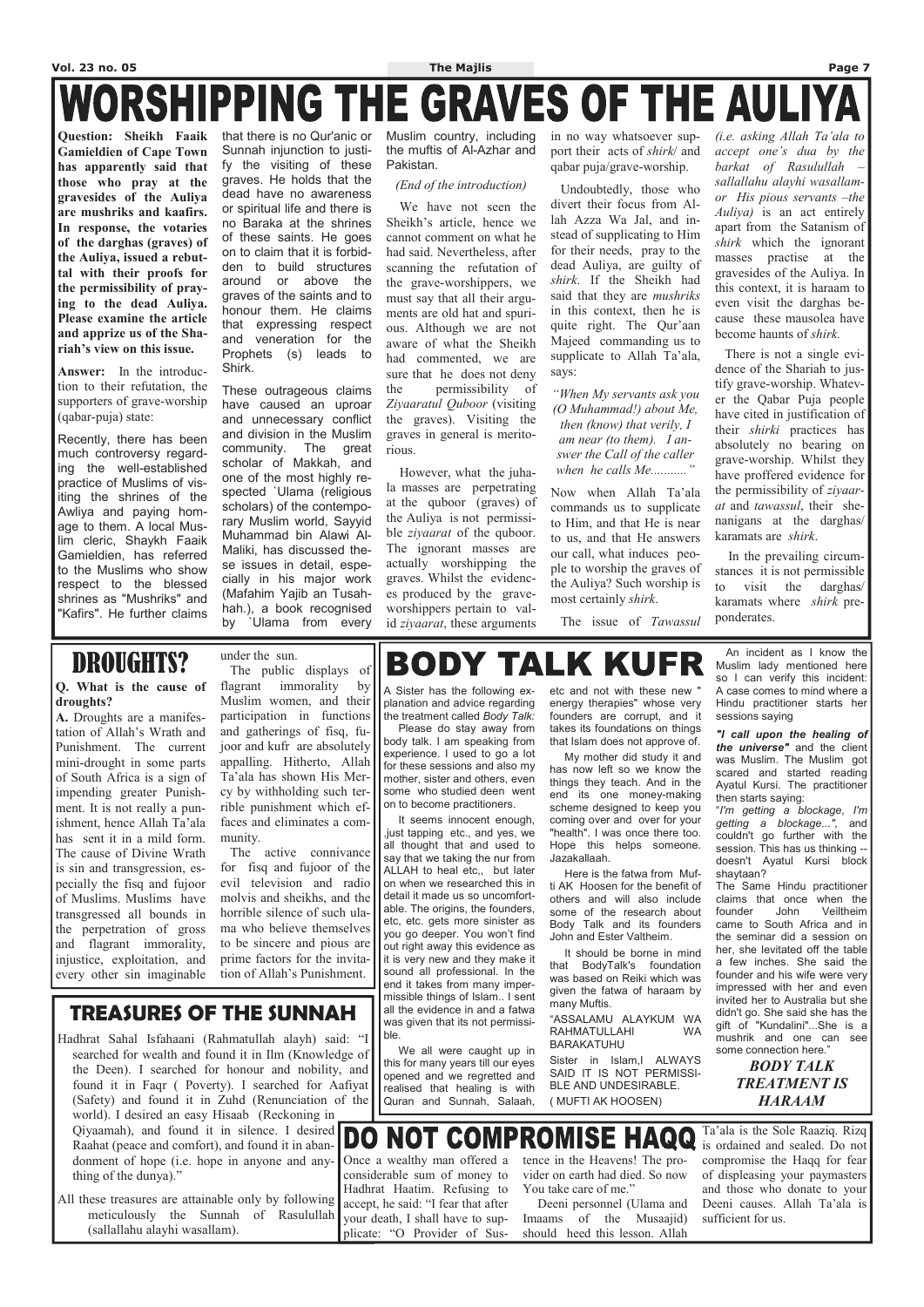# **Vol. 23 no. 05 The Majlis Page 7 WORSHIPPING THE GRAVES OF THE AULIYA**

**Question: Sheikh Faaik Gamieldien of Cape Town has apparently said that those who pray at the gravesides of the Auliya are mushriks and kaafirs. In response, the votaries of the darghas (graves) of the Auliya, issued a rebuttal with their proofs for the permissibility of praying to the dead Auliya. Please examine the article and apprize us of the Shariah's view on this issue.** 

**Answer:** In the introduction to their refutation, the supporters of grave-worship (qabar-puja) state:

Recently, there has been much controversy regarding the well-established practice of Muslims of visiting the shrines of the Awliya and paying homage to them. A local Muslim cleric, Shaykh Faaik Gamieldien, has referred to the Muslims who show respect to the blessed shrines as "Mushriks" and "Kafirs". He further claims that there is no Qur'anic or Sunnah injunction to justify the visiting of these graves. He holds that the dead have no awareness or spiritual life and there is no Baraka at the shrines of these saints. He goes on to claim that it is forbidden to build structures around or above the graves of the saints and to honour them. He claims that expressing respect and veneration for the Prophets (s) leads to Shirk.

These outrageous claims have caused an uproar and unnecessary conflict and division in the Muslim community. The great scholar of Makkah, and one of the most highly respected `Ulama (religious scholars) of the contemporary Muslim world, Sayyid Muhammad bin Alawi Al-Maliki, has discussed these issues in detail, especially in his major work (Mafahim Yajib an Tusahhah.), a book recognised by `Ulama from every

Muslim country, including the muftis of Al-Azhar and Pakistan.

#### *(End of the introduction)*

 We have not seen the Sheikh's article, hence we cannot comment on what he had said. Nevertheless, after scanning the refutation of the grave-worshippers, we must say that all their arguments are old hat and spurious. Although we are not aware of what the Sheikh had commented, we are sure that he does not deny the permissibility of *Ziyaaratul Quboor* (visiting the graves). Visiting the graves in general is meritorious.

There is not a single evidence of the Shariah to justify grave-worship. Whatever the Qabar Puja people have cited in justification of their *shirki* practices has absolutely no bearing on grave-worship. Whilst they have proffered evidence for the permissibility of *ziyaarat* and *tawassul*, their shenanigans at the darghas/ karamats are *shirk*.

 However, what the juhala masses are perpetrating at the quboor (graves) of the Auliya is not permissible *ziyaarat* of the quboor. The ignorant masses are actually worshipping the graves. Whilst the evidences produced by the graveworshippers pertain to valid *ziyaarat*, these arguments

in no way whatsoever support their acts of *shirk*/ and qabar puja/grave-worship.

 Undoubtedly, those who divert their focus from Allah Azza Wa Jal, and instead of supplicating to Him for their needs, pray to the dead Auliya, are guilty of *shirk*. If the Sheikh had said that they are *mushriks* in this context, then he is quite right. The Qur'aan Majeed commanding us to supplicate to Allah Ta'ala, says:

*"When My servants ask you (O Muhammad!) about Me, then (know) that verily, I am near (to them). I answer the Call of the caller when he calls Me..........."* 

Now when Allah Ta'ala commands us to supplicate to Him, and that He is near to us, and that He answers our call, what induces people to worship the graves of the Auliya? Such worship is most certainly *shirk*.

The issue of *Tawassul* 

*(i.e. asking Allah Ta'ala to accept one's dua by the barkat of Rasulullah – sallallahu alayhi wasallamor His pious servants –the Auliya)* is an act entirely apart from the Satanism of *shirk* which the ignorant masses practise at the gravesides of the Auliya. In this context, it is haraam to even visit the darghas because these mausolea have become haunts of *shirk.* 

 In the prevailing circumstances it is not permissible to visit the darghas/ karamats where *shirk* preponderates.

A Sister has the following explanation and advice regarding the treatment called *Body Talk:* 

 Please do stay away from body talk. I am speaking from experience. I used to go a lot for these sessions and also my mother, sister and others, even some who studied deen went on to become practitioners.

 It seems innocent enough, ,just tapping etc., and yes, we all thought that and used to say that we taking the nur from ALLAH to heal etc,, but later on when we researched this in detail it made us so uncomfortable. The origins, the founders, etc, etc. gets more sinister as you go deeper. You won't find out right away this evidence as it is very new and they make it sound all professional. In the end it takes from many imper-

etc and not with these new " energy therapies" whose very founders are corrupt, and it takes its foundations on things that Islam does not approve of.

 My mother did study it and has now left so we know the things they teach. And in the end its one money-making scheme designed to keep you coming over and over for your "health". I was once there too. Hope this helps someone. Jazakallaah.

 Here is the fatwa from Mufti AK Hoosen for the benefit of others and will also include some of the research about Body Talk and its founders John and Ester Valtheim.

 It should be borne in mind that BodyTalk's foundation was based on Reiki which was

 An incident as I know the Muslim lady mentioned here so I can verify this incident: A case comes to mind where a Hindu practitioner starts her sessions saying

*"I call upon the healing of the universe"* and the client was Muslim. The Muslim got scared and started reading Ayatul Kursi. The practitioner then starts saying:

"*I'm getting a blockage, I'm getting a blockage..."*, and couldn't go further with the session. This has us thinking - doesn't Ayatul Kursi block shaytaan?

| <b>TREASURES OF THE SUNNAH</b><br>Hadhrat Sahal Isfahaani (Rahmatullah alayh) said: "I<br>searched for wealth and found it in Ilm (Knowledge of<br>the Deen). I searched for honour and nobility, and<br>found it in Faqr (Poverty). I searched for Aafiyat realised that healing is with<br>(Safety) and found it in Zuhd (Renunciation of the<br>world). I desired an easy Hisaab (Reckoning in                                                                                                           | יסאיייי ייייטייי יייטייי סטיישי יי שיוכ<br>missible things of Islam I sent<br>all the evidence in and a fatwa<br>was given that its not permissi-<br>I ble.<br>We all were caught up in<br>this for many years till our eyes<br>opened and we regretted and<br>Quran and Sunnah, Salaah, | given the fatwa of haraam by<br>many Muftis.<br>"ASSALAMU ALAYKUM WA<br>RAHMATULLAHI<br><b>WA</b><br><b>BARAKATUHU</b><br>Sister in Islam, IALWAYS<br>SAID IT IS NOT PERMISSI-<br>BLE AND UNDESIRABLE.<br>(MUFTI AK HOOSEN) | impressed with her and even<br>invited her to Australia but she<br>didn't go. She said she has the<br>gift of "Kundalini"She is a<br>mushrik and one can see<br>some connection here."<br><b>BODY TALK</b><br><b>TREATMENT IS</b><br><b>HARAAM</b> |
|-------------------------------------------------------------------------------------------------------------------------------------------------------------------------------------------------------------------------------------------------------------------------------------------------------------------------------------------------------------------------------------------------------------------------------------------------------------------------------------------------------------|------------------------------------------------------------------------------------------------------------------------------------------------------------------------------------------------------------------------------------------------------------------------------------------|-----------------------------------------------------------------------------------------------------------------------------------------------------------------------------------------------------------------------------|----------------------------------------------------------------------------------------------------------------------------------------------------------------------------------------------------------------------------------------------------|
| Qiyaamah), and found it in silence. I desired <b>DO NOT COMPROMISE HAQQ</b> Ta'ala is the Sole Raaziq. Rizq Raahat (peace and comfort), and found it in aban- <b>DO NOT COMPROMISE HAQQ</b> is ordained and sealed. Do not<br>donment of hope (i.e. hope in anyone and any-<br>thing of the dunya)."<br>All these treasures are attainable only by following accept, he said: "I fear that after<br>meticulously the Sunnah of Rasulullah vour death, I shall have to sup-<br>(sallallahu alayhi wasallam). | Once a wealthy man offered a<br>considerable sum of money to<br>Hadhrat Haatim. Refusing to<br>plicate: "O Provider of Sus-                                                                                                                                                              | tence in the Heavens! The pro-<br>vider on earth had died. So now<br>You take care of me."<br>Deeni personnel (Ulama and<br>Imaams of the Musaajid)<br>should heed this lesson. Allah                                       | compromise the Haqq for fear<br>of displeasing your paymasters<br>and those who donate to your<br>Deeni causes. Allah Ta'ala is<br>sufficient for us.                                                                                              |

The Same Hindu practitioner claims that once when the founder John Veiltheim came to South Africa and in the seminar did a session on her, she levitated off the table a few inches. She said the founder and his wife were very impressed with her and even

## DROUGHTS?

#### **Q. What is the cause of droughts?**

**A.** Droughts are a manifestation of Allah's Wrath and Punishment. The current mini-drought in some parts of South Africa is a sign of impending greater Punishment. It is not really a punishment, hence Allah Ta'ala has sent it in a mild form. The cause of Divine Wrath is sin and transgression, especially the fisq and fujoor of Muslims. Muslims have transgressed all bounds in the perpetration of gross and flagrant immorality, injustice, exploitation, and every other sin imaginable

under the sun.

 The public displays of flagrant immorality by Muslim women, and their participation in functions and gatherings of fisq, fujoor and kufr are absolutely appalling. Hitherto, Allah Ta'ala has shown His Mercy by withholding such terrible punishment which effaces and eliminates a community.

 The active connivance for fisq and fujoor of the evil television and radio molvis and sheikhs, and the horrible silence of such ulama who believe themselves to be sincere and pious are prime factors for the invitation of Allah's Punishment.

# **BODY TALK KUFR**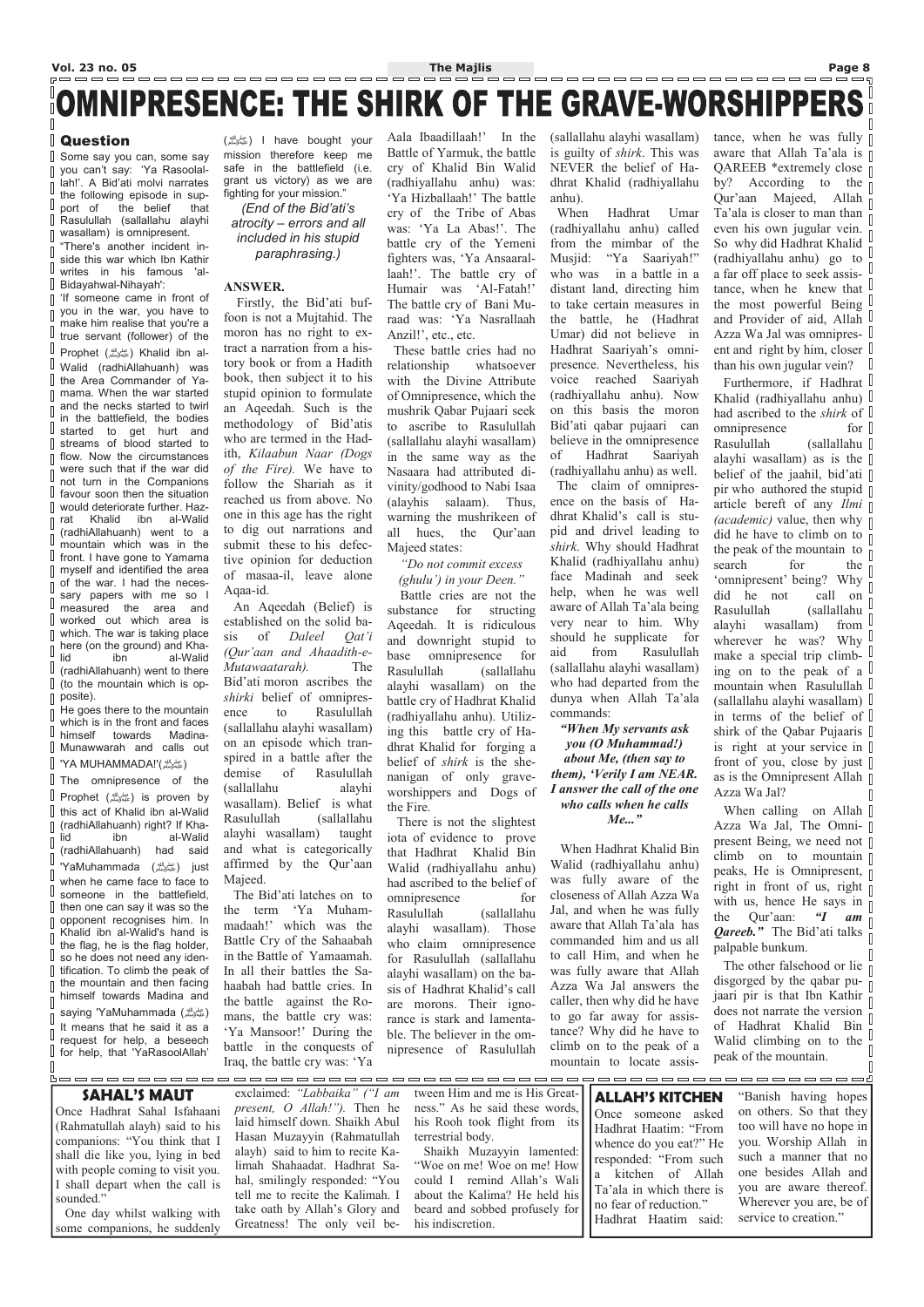# OMNIPRESENCE: THE SHIRK OF THE GRAVE-WORSHIPPERS

#### Question

 $\sqrt{ }$  $\Box$ 

 $\sqrt{ }$  $\sqrt{ }$ 

Some say you can, some say you can't say: 'Ya Rasoolal- $\mathbb{R}$ lah!'. A Bid'ati molvi narrates the following episode in support of the belief that  $\begin{array}{c} \hline \end{array}$ Rasulullah (sallallahu alayhi wasallam) is omnipresent.

"There's another incident inside this war which Ibn Kathir  $\begin{bmatrix} 1 \\ 2 \end{bmatrix}$ writes in his famous 'al- $\begin{bmatrix} 1 \\ 2 \end{bmatrix}$ Bidayahwal-Nihayah':

 $\mathbb{R}$ 'If someone came in front of you in the war, you have to  $\sqrt{ }$ make him realise that you're a  $\begin{array}{c} \end{array}$ true servant (follower) of the  $\mathbf{r}^{\prime}=\mathbf{r}^{\prime}+\mathbf{r}^{\prime}+\mathbf{r}^{\prime}+\mathbf{r}^{\prime}+\mathbf{r}^{\prime}+\mathbf{r}^{\prime}+\mathbf{r}^{\prime}+\mathbf{r}^{\prime}+\mathbf{r}^{\prime}+\mathbf{r}^{\prime}+\mathbf{r}^{\prime}+\mathbf{r}^{\prime}+\mathbf{r}^{\prime}+\mathbf{r}^{\prime}+\mathbf{r}^{\prime}+\mathbf{r}^{\prime}+\mathbf{r}^{\prime}+\mathbf{r}^{\prime}+\mathbf{r}^{\prime}+\mathbf{r}^{\prime}+\mathbf{r}^{\prime}$ Prophet ( ) Khalid ibn al- صلى الله عليه وسلم  $\begin{bmatrix} 1 & 1 \\ 1 & 1 \end{bmatrix}$ Walid (radhiAllahuanh) was I the Area Commander of Ya- $\begin{array}{c} \hline \end{array}$ mama. When the war started and the necks started to twirl  $\sqrt{ }$ in the battlefield, the bodies  $\begin{bmatrix} 1 \\ 2 \end{bmatrix}$ started to get hurt and streams of blood started to  $\mathbf{r}$ flow. Now the circumstances  $\sqrt{ }$ were such that if the war did  $\sqrt{ }$ not turn in the Companions  $\begin{bmatrix} 1 \\ 2 \end{bmatrix}$ favour soon then the situation  $\Box$ would deteriorate further. Hazrat Khalid ibn al-Walid  $\sqrt{ }$ (radhiAllahuanh) went to a  $\sqrt{2}$ mountain which was in the  $\sqrt{ }$ front. I have gone to Yamama  $\mathbb{R}$ myself and identified the area of the war. I had the neces- $\Box$ sary papers with me so I  $\Box$ measured the area and  $\overline{\phantom{a}}$ worked out which area is  $\Box$ which. The war is taking place here (on the ground) and Kha- $\sqrt{ }$ lid ibn al-Walid  $\begin{bmatrix} 1 & 1 \\ 1 & 1 \end{bmatrix}$ (radhiAllahuanh) went to there  $\begin{bmatrix} 1 & 1 \\ 1 & 1 \end{bmatrix}$ (to the mountain which is op- $\sqrt{ }$ posite).

The omnipresence of the Prophet ( ) is proven by  $\Box$  this act of Khalid ibn al-Walid  $\begin{bmatrix} \phantom{-} \end{bmatrix}$ (radhiAllahuanh) right? If Khalid ibn al-Walid  $\sqrt{ }$ (radhiAllahuanh) had said  $\Box$ 'YaMuhammada (صلى الله عليه وسلم (just  $\mathbb{I}$ when he came face to face to  $\begin{array}{c} \end{array}$ someone in the battlefield,  $\begin{bmatrix} \phantom{-} \end{bmatrix}$ then one can say it was so the opponent recognises him. In  $\mathbb{R}$ Khalid ibn al-Walid's hand is  $\sqrt{2}$ the flag, he is the flag holder,  $\Box$ so he does not need any iden- $\parallel$  tification. To climb the peak of the mountain and then facing  $\begin{bmatrix} \phantom{-} \end{bmatrix}$ himself towards Madina and  $\begin{bmatrix} 1 \\ 2 \end{bmatrix}$ saying 'YaMuhammada ( عليه الله عليه وسلم)  $\Box$ It means that he said it as a  $\begin{bmatrix} 1 & 1 \\ 1 & 1 \end{bmatrix}$ request for help, a beseech for help, that 'YaRasoolAllah'  $\mathbb{I}$ 

He goes there to the mountain which is in the front and faces  $\Box$ himself towards Madina- $\begin{bmatrix} \phantom{-} \end{bmatrix}$ Munawwarah and calls out

'YA MUHAMMADA!'( ) صلى الله عليه وسلم

Aala Ibaadillaah!' In the Battle of Yarmuk, the battle cry of Khalid Bin Walid (radhiyallahu anhu) was: 'Ya Hizballaah!' The battle cry of the Tribe of Abas was: 'Ya La Abas!'. The battle cry of the Yemeni fighters was, 'Ya Ansaarallaah!'. The battle cry of Humair was 'Al-Fatah!' The battle cry of Bani Muraad was: 'Ya Nasrallaah Anzil!', etc., etc.

( ) I have bought your صلى الله عليه وسلم mission therefore keep me safe in the battlefield (i.e. grant us victory) as we are fighting for your mission."

*(End of the Bid'ati's atrocity – errors and all included in his stupid paraphrasing.)* 

#### **ANSWER.**

 Firstly, the Bid'ati buffoon is not a Mujtahid. The moron has no right to extract a narration from a history book or from a Hadith book, then subject it to his stupid opinion to formulate an Aqeedah. Such is the methodology of Bid'atis who are termed in the Hadith, *Kilaabun Naar (Dogs of the Fire).* We have to follow the Shariah as it reached us from above. No one in this age has the right to dig out narrations and submit these to his defective opinion for deduction of masaa-il, leave alone Aqaa-id.

 An Aqeedah (Belief) is established on the solid basis of *Daleel Qat'i (Qur'aan and Ahaadith-e-Mutawaatarah).* The Bid'ati moron ascribes the *shirki* belief of omnipresence to Rasulullah (sallallahu alayhi wasallam) on an episode which transpired in a battle after the demise of Rasulullah (sallallahu alayhi wasallam). Belief is what Rasulullah (sallallahu alayhi wasallam) taught and what is categorically affirmed by the Qur'aan Majeed.

 The Bid'ati latches on to the term 'Ya Muhammadaah!' which was the Battle Cry of the Sahaabah in the Battle of Yamaamah. In all their battles the Sahaabah had battle cries. In the battle against the Romans, the battle cry was: 'Ya Mansoor!' During the battle in the conquests of Iraq, the battle cry was: 'Ya

When calling on Allah  $\Box$ Azza Wa Jal, The Omnipresent Being, we need not climb on to mountain  $\mathbb I$ peaks, He is Omnipresent,  $\parallel$ right in front of us, right  $\overline{p}$ with us, hence He says in  $\overline{\parallel}$ the Qur'aan:  $\mathbf{u}$  am  $\parallel$ *Qareeb.*" The Bid'ati talks  $\int_{0}^{\pi}$ palpable bunkum.

The other falsehood or lie  $\overline{\parallel}$ disgorged by the qabar pu- $\overrightarrow{p}$ jaari pir is that Ibn Kathir does not narrate the version  $\int_{0}^{\infty}$ of Hadhrat Khalid Bin Walid climbing on to the peak of the mountain. П

 These battle cries had no relationship whatsoever with the Divine Attribute of Omnipresence, which the mushrik Qabar Pujaari seek to ascribe to Rasulullah (sallallahu alayhi wasallam) in the same way as the Nasaara had attributed divinity/godhood to Nabi Isaa (alayhis salaam). Thus, warning the mushrikeen of all hues, the Qur'aan Majeed states:

*"Do not commit excess (ghulu') in your Deen."* 

 Battle cries are not the substance for structing Aqeedah. It is ridiculous and downright stupid to base omnipresence for Rasulullah (sallallahu alayhi wasallam) on the battle cry of Hadhrat Khalid (radhiyallahu anhu). Utilizing this battle cry of Hadhrat Khalid for forging a belief of *shirk* is the shenanigan of only graveworshippers and Dogs of the Fire.

 There is not the slightest iota of evidence to prove that Hadhrat Khalid Bin Walid (radhiyallahu anhu) had ascribed to the belief of omnipresence for Rasulullah (sallallahu alayhi wasallam). Those who claim omnipresence for Rasulullah (sallallahu alayhi wasallam) on the basis of Hadhrat Khalid's call are morons. Their ignorance is stark and lamentable. The believer in the omnipresence of Rasulullah

(sallallahu alayhi wasallam) is guilty of *shirk*. This was NEVER the belief of Hadhrat Khalid (radhiyallahu anhu).

 When Hadhrat Umar (radhiyallahu anhu) called from the mimbar of the Musjid: "Ya Saariyah!" who was in a battle in a distant land, directing him to take certain measures in the battle, he (Hadhrat Umar) did not believe in Hadhrat Saariyah's omnipresence. Nevertheless, his voice reached Saariyah (radhiyallahu anhu). Now on this basis the moron Bid'ati qabar pujaari can believe in the omnipresence of Hadhrat Saariyah (radhiyallahu anhu) as well. The claim of omnipresence on the basis of Hadhrat Khalid's call is stupid and drivel leading to *shirk*. Why should Hadhrat Khalid (radhiyallahu anhu) face Madinah and seek help, when he was well aware of Allah Ta'ala being very near to him. Why should he supplicate for aid from Rasulullah (sallallahu alayhi wasallam) who had departed from the dunya when Allah Ta'ala commands:

#### *"When My servants ask you (O Muhammad!) about Me, (then say to them), 'Verily I am NEAR. I answer the call of the one who calls when he calls Me..."*

 When Hadhrat Khalid Bin Walid (radhiyallahu anhu) was fully aware of the closeness of Allah Azza Wa Jal, and when he was fully aware that Allah Ta'ala has commanded him and us all to call Him, and when he was fully aware that Allah Azza Wa Jal answers the caller, then why did he have to go far away for assistance? Why did he have to climb on to the peak of a mountain to locate assis-

tance, when he was fully  $\Box$ aware that Allah Ta'ala is  $\mathbb I$ QAREEB \*extremely close  $\parallel$ by? According to the  $\overline{a}$ Our'aan Majeed, Allah  $\overline{\parallel}$ Ta'ala is closer to man than  $\overline{\parallel}$ even his own jugular vein. So why did Hadhrat Khalid (radhiyallahu anhu) go to a far off place to seek assistance, when he knew that  $\mathbb I$ the most powerful Being  $\mathbb{I}$ and Provider of aid, Allah  $\Box$ Azza Wa Jal was omnipresent and right by him, closer than his own jugular vein? U

Furthermore, if Hadhrat U Khalid (radhiyallahu anhu) had ascribed to the *shirk* of omnipresence for  $\mathbb I$ Rasulullah (sallallahu alayhi wasallam) as is the  $\parallel$ belief of the jaahil, bid'ati  $\parallel$ pir who authored the stupid  $\parallel$ article bereft of any *Ilmi (academic)* value, then why  $\Box$ did he have to climb on to  $\parallel$ the peak of the mountain to  $\overline{\parallel}$ <br>search for the  $\overline{\parallel}$ search for the 'omnipresent' being? Why did he not call on  $\parallel$ Rasulullah (sallallahu alayhi wasallam) from wherever he was? Why make a special trip climb- $\frac{1}{2}$ ing on to the peak of a  $\mathbb{I}$ mountain when Rasulullah U (sallallahu alayhi wasallam) in terms of the belief of shirk of the Qabar Pujaaris is right at your service in front of you, close by just as is the Omnipresent Allah  $\parallel$ Azza Wa Jal?  $\sqrt{2}$ 

| <b>SAHAL'S MAUT</b><br>Once Hadhrat Sahal Isfahaani<br>(Rahmatullah alayh) said to his<br>companions: "You think that I<br>shall die like you, lying in bed<br>with people coming to visit you.<br>I shall depart when the call is<br>sounded."<br>One day whilst walking with<br>some companions, he suddenly | Hasan Muzayyin (Rahmatullah terrestrial body.<br>limah Shahaadat. Hadhrat Sa-<br>hal, smilingly responded: "You<br>tell me to recite the Kalimah. I<br>take oath by Allah's Glory and beard and sobbed profusely for no fear of reduction."<br>Greatness! The only veil be- his indiscretion. | exclaimed: "Labbaika" ("I am tween Him and me is His Great- $\vert \vert$ <b>ALLAH'S KITCHEN</b><br><i>present, O Allah!"</i> ). Then he ness." As he said these words,<br>laid himself down. Shaikh Abul his Rooh took flight from its<br>alayh) said to him to recite Ka-<br>Shaikh Muzayyin lamented:<br>"Woe on me! Woe on me! How<br>could I remind Allah's Wali<br>about the Kalima? He held his   Ta'ala in which there is | Once someone asked<br>Hadhrat Haatim: "From<br>whence do you eat?" He<br>responded: "From such<br>a kitchen of Allah<br>Hadhrat Haatim said: | "Banish having hopes"<br>on others. So that they<br>too will have no hope in<br>you. Worship Allah in<br>such a manner that no<br>one besides Allah and<br>you are aware thereof.<br>Wherever you are, be of<br>service to creation." |
|----------------------------------------------------------------------------------------------------------------------------------------------------------------------------------------------------------------------------------------------------------------------------------------------------------------|-----------------------------------------------------------------------------------------------------------------------------------------------------------------------------------------------------------------------------------------------------------------------------------------------|-----------------------------------------------------------------------------------------------------------------------------------------------------------------------------------------------------------------------------------------------------------------------------------------------------------------------------------------------------------------------------------------------------------------------------------|----------------------------------------------------------------------------------------------------------------------------------------------|---------------------------------------------------------------------------------------------------------------------------------------------------------------------------------------------------------------------------------------|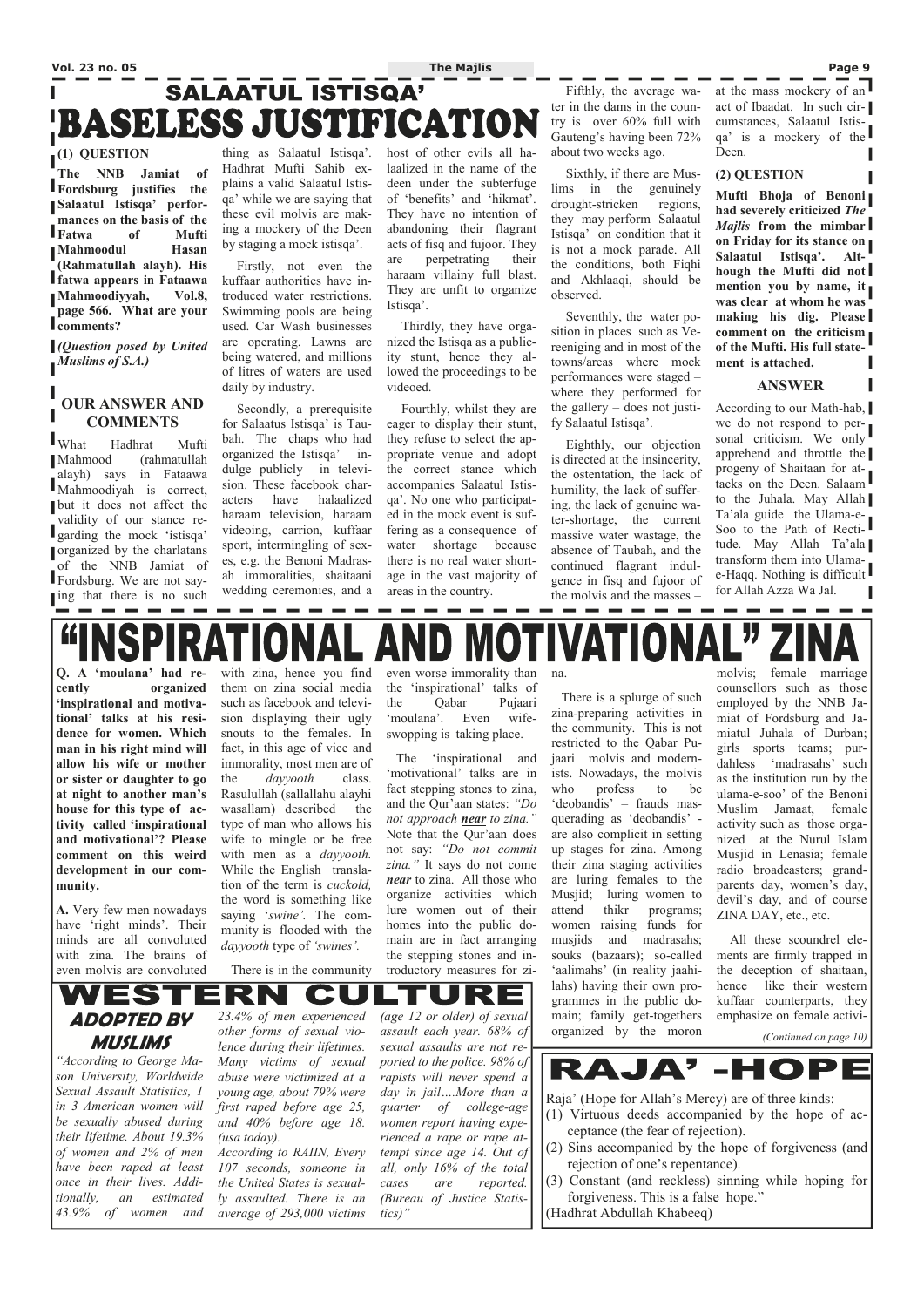# **Vol. 23 no. 05 The Majlis Page 9**  SALAATUL ISTISQA' **BASELESS JUSTIFICATION**

### **(1) QUESTION**

**The NNB Jamiat of Fordsburg justifies the Salaatul Istisqa' performances on the basis of the Fatwa of Mufti Mahmoodul Hasan (Rahmatullah alayh). His fatwa appears in Fataawa Mahmoodiyyah, Vol.8, page 566. What are your comments?** 

*(Question posed by United Muslims of S.A.)* 

#### **OUR ANSWER AND COMMENTS**

What Hadhrat Mufti Mahmood (rahmatullah alayh) says in Fataawa Mahmoodiyah is correct, but it does not affect the validity of our stance regarding the mock 'istisqa' organized by the charlatans of the NNB Jamiat of Fordsburg. We are not saylacktriangleright in the red is no such a such a such a such a such a such a such a such a such a such a such a such a such a such a such a such a such a such a such a such a such a such a such a such a such a such a such

thing as Salaatul Istisqa'. Hadhrat Mufti Sahib explains a valid Salaatul Istisqa' while we are saying that these evil molvis are making a mockery of the Deen by staging a mock istisqa'.

 Firstly, not even the kuffaar authorities have introduced water restrictions. Swimming pools are being used. Car Wash businesses are operating. Lawns are being watered, and millions of litres of waters are used daily by industry.

 Secondly, a prerequisite for Salaatus Istisqa' is Taubah. The chaps who had organized the Istisqa' indulge publicly in television. These facebook characters have halaalized haraam television, haraam videoing, carrion, kuffaar sport, intermingling of sexes, e.g. the Benoni Madrasah immoralities, shaitaani wedding ceremonies, and a

host of other evils all halaalized in the name of the deen under the subterfuge of 'benefits' and 'hikmat'. They have no intention of abandoning their flagrant acts of fisq and fujoor. They are perpetrating their haraam villainy full blast. They are unfit to organize Istisqa'.

 Thirdly, they have organized the Istisqa as a publicity stunt, hence they allowed the proceedings to be videoed.

 Fourthly, whilst they are eager to display their stunt, they refuse to select the appropriate venue and adopt the correct stance which accompanies Salaatul Istisqa'. No one who participated in the mock event is suffering as a consequence of water shortage because there is no real water shortage in the vast majority of areas in the country.

> RAJA'-HOPE Raja' (Hope for Allah's Mercy) are of three kinds: (1) Virtuous deeds accompanied by the hope of acceptance (the fear of rejection). (2) Sins accompanied by the hope of forgiveness (and rejection of one's repentance). (3) Constant (and reckless) sinning while hoping for forgiveness. This is a false hope." (Hadhrat Abdullah Khabeeq)

### **AND MOTIVATIONAL NSPIRATION/ Q. A 'moulana' had re-**

 Fifthly, the average water in the dams in the country is over 60% full with Gauteng's having been 72% about two weeks ago.

 Sixthly, if there are Muslims in the genuinely drought-stricken regions, they may perform Salaatul Istisqa' on condition that it is not a mock parade. All the conditions, both Fiqhi and Akhlaaqi, should be observed.

 Seventhly, the water position in places such as Vereeniging and in most of the towns/areas where mock performances were staged – where they performed for the gallery – does not justify Salaatul Istisqa'.

 Eighthly, our objection is directed at the insincerity, the ostentation, the lack of humility, the lack of suffering, the lack of genuine water-shortage, the current massive water wastage, the absence of Taubah, and the continued flagrant indulgence in fisq and fujoor of the molvis and the masses –

at the mass mockery of an act of Ibaadat. In such circumstances, Salaatul Istisqa' is a mockery of the Deen.

#### **(2) QUESTION**

**Mufti Bhoja of Benoni had severely criticized** *The Majlis* **from the mimbar on Friday for its stance on Salaatul Istisqa'. Although the Mufti did not mention you by name, it was clear at whom he was making his dig. Please comment on the criticism of the Mufti. His full statement is attached.** 

#### **ANSWER**

According to our Math-hab, we do not respond to personal criticism. We only apprehend and throttle the progeny of Shaitaan for attacks on the Deen. Salaam to the Juhala. May Allah Ta'ala guide the Ulama-e-Soo to the Path of Rectitude. May Allah Ta'ala transform them into Ulamae-Haqq. Nothing is difficult for Allah Azza Wa Jal.

#### WES . II W KI *23.4% of men experienced (age 12 or older) of sexual*  **ADOPTED BY**  *other forms of sexual vioassault each year. 68% of*  **MUSLIMS**  *lence during their lifetimes. sexual assaults are not re-"According to George Ma-Many victims of sexual ported to the police. 98% of abuse were victimized at a son University, Worldwide rapists will never spend a Sexual Assault Statistics, 1 day in jail….More than a young age, about 79% were in 3 American women will first raped before age 25, quarter of college-age be sexually abused during and 40% before age 18. women report having expetheir lifetime. About 19.3% rienced a rape or rape at-(usa today). of women and 2% of men According to RAIIN, Every tempt since age 14. Out of have been raped at least 107 seconds, someone in all, only 16% of the total once in their lives. Addithe United States is sexualcases are reported. tionally, an estimated ly assaulted. There is an (Bureau of Justice Statis-*

**cently organized 'inspirational and motivational' talks at his residence for women. Which man in his right mind will allow his wife or mother or sister or daughter to go at night to another man's house for this type of activity called 'inspirational and motivational'? Please comment on this weird development in our community.** 

**A.** Very few men nowadays have 'right minds'. Their minds are all convoluted with zina. The brains of even molvis are convoluted

with zina, hence you find them on zina social media such as facebook and television displaying their ugly snouts to the females. In fact, in this age of vice and immorality, most men are of the *dayyooth* class. Rasulullah (sallallahu alayhi wasallam) described the type of man who allows his wife to mingle or be free with men as a *dayyooth.*  While the English translation of the term is *cuckold,*  the word is something like saying '*swine'.* The community is flooded with the *dayyooth* type of *'swines'.* 

even worse immorality than the 'inspirational' talks of the Qabar Pujaari 'moulana'. Even wifeswopping is taking place.

 The 'inspirational and 'motivational' talks are in fact stepping stones to zina, and the Qur'aan states: *"Do not approach near to zina."*  Note that the Qur'aan does not say: *"Do not commit zina."* It says do not come *near* to zina. All those who organize activities which lure women out of their homes into the public domain are in fact arranging the stepping stones and introductory measures for zi-

na.

 There is a splurge of such zina-preparing activities in the community. This is not restricted to the Qabar Pujaari molvis and modernists. Nowadays, the molvis who profess to be 'deobandis' – frauds masquerading as 'deobandis' are also complicit in setting up stages for zina. Among their zina staging activities are luring females to the Musjid; luring women to attend thikr programs; women raising funds for musjids and madrasahs; souks (bazaars); so-called 'aalimahs' (in reality jaahi-

lahs) having their own programmes in the public do-kuffaar counterparts, they main; family get-togethers organized by the moron

molvis; female marriage counsellors such as those employed by the NNB Jamiat of Fordsburg and Jamiatul Juhala of Durban; girls sports teams; purdahless 'madrasahs' such as the institution run by the ulama-e-soo' of the Benoni Muslim Jamaat, female activity such as those organized at the Nurul Islam Musjid in Lenasia; female radio broadcasters; grandparents day, women's day, devil's day, and of course ZINA DAY, etc., etc.

 All these scoundrel elements are firmly trapped in the deception of shaitaan, hence like their western emphasize on female activi- *(Continued on page 10)* 

*43.9% of women and* 

*average of 293,000 victims* 

*tics)"* 

There is in the community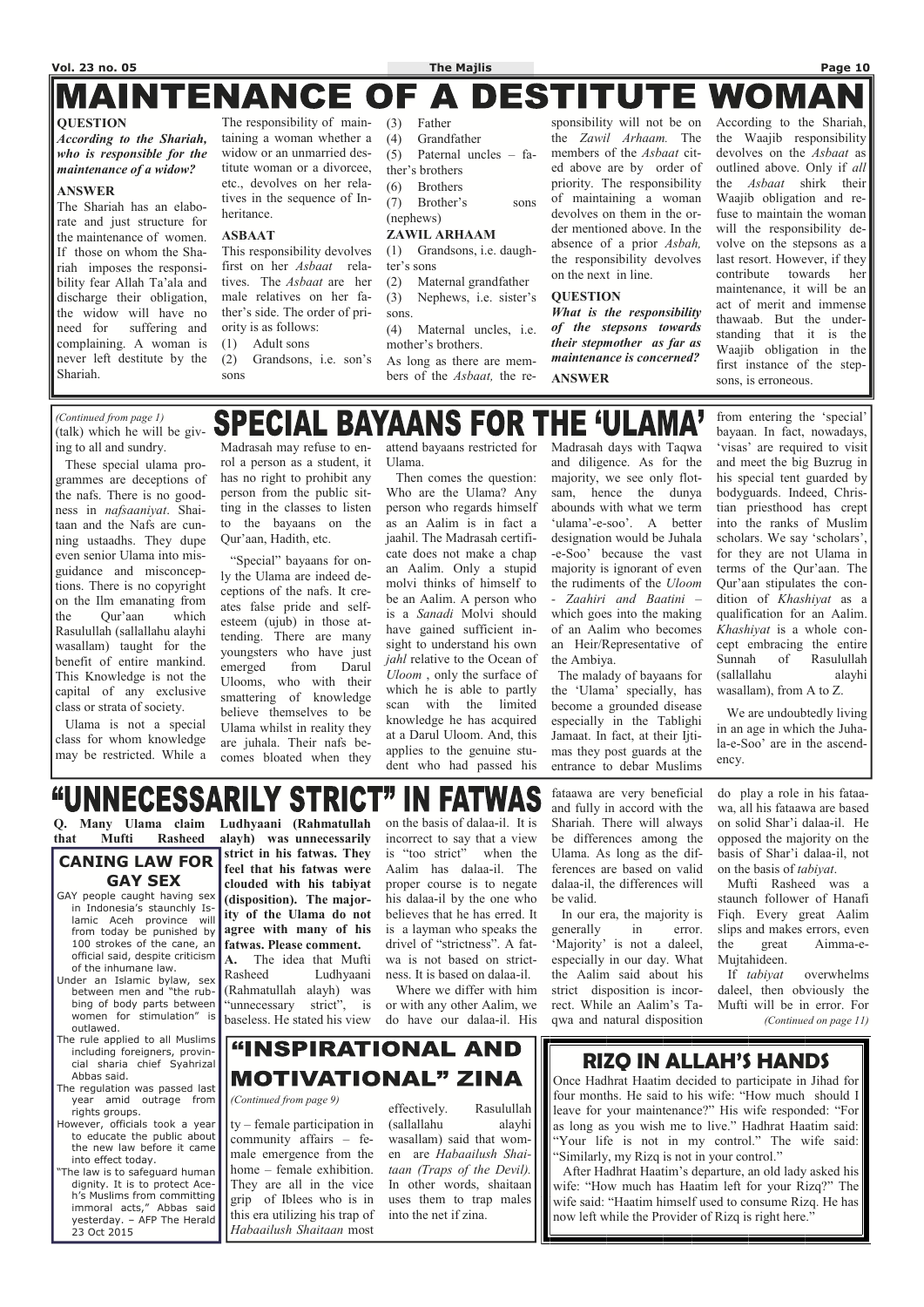#### **MAINTENANCE OF DESTITUTE WOMA**  $\blacktriangle$

#### **QUESTION**

*According to the Shariah, who is responsible for the maintenance of a widow?* 

#### **ANSWER**

The Shariah has an elaborate and just structure for the maintenance of women. If those on whom the Shariah imposes the responsibility fear Allah Ta'ala and discharge their obligation, the widow will have no need for suffering and complaining. A woman is never left destitute by the Shariah.

The responsibility of maintaining a woman whether a widow or an unmarried destitute woman or a divorcee, etc., devolves on her relatives in the sequence of Inheritance.

#### **ASBAAT**

This responsibility devolves first on her *Asbaat* relatives. The *Asbaat* are her male relatives on her father's side. The order of priority is as follows:

- (1) Adult sons (2) Grandsons, i.e. son's
- sons
- (3) Father
- (4) Grandfather
- (5) Paternal uncles fa-
- ther's brothers
- (6) Brothers
- (7) Brother's sons (nephews)

#### **ZAWIL ARHAAM**

(1) Grandsons, i.e. daughter's sons

- (2) Maternal grandfather (3) Nephews, i.e. sister's sons.
- (4) Maternal uncles, i.e. mother's brothers.
- As long as there are mem-

bers of the *Asbaat,* the re-

sponsibility will not be on the *Zawil Arhaam.* The members of the *Asbaat* cited above are by order of priority. The responsibility of maintaining a woman devolves on them in the order mentioned above. In the absence of a prior *Asbah,*  the responsibility devolves on the next in line.

#### **QUESTION**

*What is the responsibility of the stepsons towards their stepmother as far as maintenance is concerned?*  **ANSWER**

According to the Shariah, the Waajib responsibility devolves on the *Asbaat* as outlined above. Only if *all*  the *Asbaat* shirk their Waajib obligation and refuse to maintain the woman will the responsibility devolve on the stepsons as a last resort. However, if they contribute towards her maintenance, it will be an act of merit and immense thawaab. But the understanding that it is the Waajib obligation in the first instance of the stepsons, is erroneous.

# **SPECIAL BAYAANS FOR THE 'ULAMA'**

**Q. Many Ulama claim that Mufti Rasheed** 

**Ludhyaani (Rahmatullah alayh) was unnecessarily** 

The law is to safeguard human dignity. It is to protect Aceh's Muslims from committing immoral acts," Abbas said yesterday. – AFP The Herald 23 Oct 2015

**strict in his fatwas. They feel that his fatwas were clouded with his tabiyat (disposition). The majority of the Ulama do not agree with many of his fatwas. Please comment. A.** The idea that Mufti Rasheed Ludhyaani (Rahmatullah alayh) was

"unnecessary strict", is

### "INSPIRATIONAL AND **MOTIVATIONAL" ZINA** *(Continued from page 9)*  ty – female participation in community affairs – female emergence from the home – female exhibition.

on the basis of dalaa-il. It is incorrect to say that a view is "too strict" when the Aalim has dalaa-il. The proper course is to negate his dalaa-il by the one who believes that he has erred. It is a layman who speaks the drivel of "strictness". A fatwa is not based on strictness. It is based on dalaa-il.

 Where we differ with him or with any other Aalim, we do have our dalaa-il. His

fataawa are very beneficial and fully in accord with the Shariah. There will always be differences among the Ulama. As long as the differences are based on valid dalaa-il, the differences will be valid.

baseless. He stated his view between men and "the rubbing of body parts between women for stimulation" is outlawed.

do play a role in his fataawa, all his fataawa are based on solid Shar'i dalaa-il. He opposed the majority on the basis of Shar'i dalaa-il, not on the basis of *tabiyat*.

 In our era, the majority is generally in error. 'Majority' is not a daleel, especially in our day. What the Aalim said about his strict disposition is incorrect. While an Aalim's Taqwa and natural disposition Mujtahideen. If *tabiyat* overwhelms daleel, then obviously the Mufti will be in error. For *(Continued on page 11)* 

 Mufti Rasheed was a staunch follower of Hanafi Fiqh. Every great Aalim slips and makes errors, even the great Aimma-e-

#### **CANING LAW FOR GAY SEX**

GAY people caught having sex in Indonesia's staunchly Islamic Aceh province will from today be punished by 100 strokes of the cane, an official said, despite criticism of the inhumane law. Under an Islamic bylaw, sex

The rule applied to all Muslims including foreigners, provincial sharia chief Syahrizal Abbas said.

The regulation was passed last year amid outrage from rights groups.

We are undoubtedly living in an age in which the Juhala-e-Soo' are in the ascendency.

#### **IN FATWA "UNNECESSARILY STRICT**

However, officials took a year to educate the public about the new law before it came into effect today.

## **RIZQ IN ALLAH'S HANDS**

Once Hadhrat Haatim decided to participate in Jihad for four months. He said to his wife: "How much should I leave for your maintenance?" His wife responded: "For as long as you wish me to live." Hadhrat Haatim said: "Your life is not in my control." The wife said: "Similarly, my Rizq is not in your control."

 After Hadhrat Haatim's departure, an old lady asked his wife: "How much has Haatim left for your Rizq?" The wife said: "Haatim himself used to consume Rizq. He has now left while the Provider of Rizq is right here."

They are all in the vice grip of Iblees who is in this era utilizing his trap of *Habaailush Shaitaan* most

effectively. Rasulullah (sallallahu alayhi wasallam) said that women are *Habaailush Shaitaan (Traps of the Devil).*  In other words, shaitaan uses them to trap males into the net if zina.

(talk) which he will be giving to all and sundry. These special ulama programmes are deceptions of

the nafs. There is no goodness in *nafsaaniyat*. Shaitaan and the Nafs are cunning ustaadhs. They dupe even senior Ulama into misguidance and misconceptions. There is no copyright on the Ilm emanating from the Qur'aan which Rasulullah (sallallahu alayhi wasallam) taught for the benefit of entire mankind. This Knowledge is not the capital of any exclusive class or strata of society.

 Ulama is not a special class for whom knowledge may be restricted. While a

Madrasah may refuse to enrol a person as a student, it has no right to prohibit any person from the public sitting in the classes to listen to the bayaans on the Qur'aan, Hadith, etc.

 "Special" bayaans for only the Ulama are indeed deceptions of the nafs. It creates false pride and selfesteem (ujub) in those attending. There are many youngsters who have just emerged from Darul Ulooms, who with their smattering of knowledge believe themselves to be Ulama whilst in reality they are juhala. Their nafs becomes bloated when they

attend bayaans restricted for Ulama.

 Then comes the question: Who are the Ulama? Any person who regards himself as an Aalim is in fact a jaahil. The Madrasah certificate does not make a chap an Aalim. Only a stupid molvi thinks of himself to be an Aalim. A person who is a *Sanadi* Molvi should have gained sufficient insight to understand his own *jahl* relative to the Ocean of *Uloom* , only the surface of which he is able to partly scan with the limited knowledge he has acquired at a Darul Uloom. And, this applies to the genuine student who had passed his

Madrasah days with Taqwa and diligence. As for the majority, we see only flotsam, hence the dunya abounds with what we term 'ulama'-e-soo'. A better designation would be Juhala -e-Soo' because the vast majority is ignorant of even the rudiments of the *Uloom - Zaahiri and Baatini –* which goes into the making of an Aalim who becomes an Heir/Representative of the Ambiya.

 The malady of bayaans for the 'Ulama' specially, has become a grounded disease especially in the Tablighi Jamaat. In fact, at their Ijtimas they post guards at the entrance to debar Muslims

from entering the 'special' bayaan. In fact, nowadays, 'visas' are required to visit and meet the big Buzrug in his special tent guarded by bodyguards. Indeed, Christian priesthood has crept into the ranks of Muslim scholars. We say 'scholars', for they are not Ulama in terms of the Qur'aan. The Qur'aan stipulates the condition of *Khashiyat* as a qualification for an Aalim. *Khashiyat* is a whole concept embracing the entire Sunnah of Rasulullah (sallallahu alayhi wasallam), from A to Z.

*(Continued from page 1)*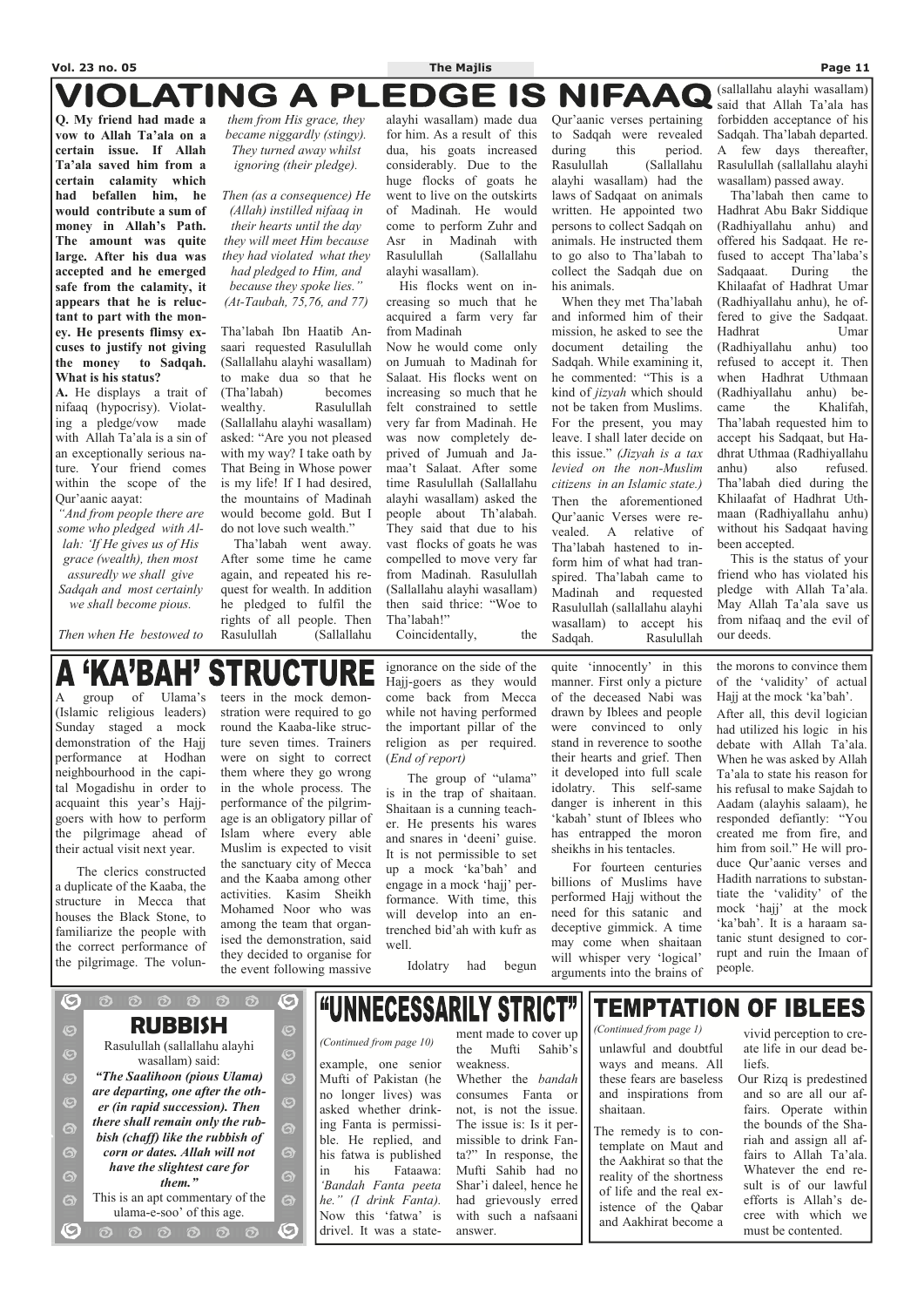### **VIOLATING A PLEDGE IS NIFAAQ**

**Q. My friend had made a vow to Allah Ta'ala on a certain issue. If Allah Ta'ala saved him from a certain calamity which had befallen him, he would contribute a sum of money in Allah's Path. The amount was quite large. After his dua was accepted and he emerged safe from the calamity, it appears that he is reluctant to part with the money. He presents flimsy excuses to justify not giving the money to Sadqah. What is his status?** 

**A.** He displays a trait of nifaaq (hypocrisy). Violating a pledge/vow made with Allah Ta'ala is a sin of an exceptionally serious nature. Your friend comes within the scope of the Qur'aanic aayat:

*"And from people there are some who pledged with Allah: 'If He gives us of His grace (wealth), then most assuredly we shall give Sadqah and most certainly we shall become pious.* 

*Then when He bestowed to* 

*them from His grace, they became niggardly (stingy). They turned away whilst ignoring (their pledge).* 

*Then (as a consequence) He (Allah) instilled nifaaq in their hearts until the day they will meet Him because they had violated what they had pledged to Him, and because they spoke lies." (At-Taubah, 75,76, and 77)* 

Tha'labah Ibn Haatib Ansaari requested Rasulullah (Sallallahu alayhi wasallam) to make dua so that he (Tha'labah) becomes wealthy. Rasulullah (Sallallahu alayhi wasallam) asked: "Are you not pleased with my way? I take oath by That Being in Whose power is my life! If I had desired, the mountains of Madinah would become gold. But I do not love such wealth."

 Tha'labah went away. After some time he came again, and repeated his request for wealth. In addition he pledged to fulfil the rights of all people. Then Rasulullah (Sallallahu

alayhi wasallam) made dua for him. As a result of this dua, his goats increased considerably. Due to the huge flocks of goats he went to live on the outskirts of Madinah. He would come to perform Zuhr and Asr in Madinah with Rasulullah (Sallallahu alayhi wasallam).

 His flocks went on increasing so much that he acquired a farm very far from Madinah

Now he would come only on Jumuah to Madinah for Salaat. His flocks went on increasing so much that he felt constrained to settle very far from Madinah. He was now completely deprived of Jumuah and Jamaa't Salaat. After some time Rasulullah (Sallallahu alayhi wasallam) asked the people about Th'alabah. They said that due to his vast flocks of goats he was compelled to move very far from Madinah. Rasulullah (Sallallahu alayhi wasallam) then said thrice: "Woe to Tha'labah!"

Coincidentally, the

Qur'aanic verses pertaining to Sadqah were revealed during this period. Rasulullah (Sallallahu alayhi wasallam) had the laws of Sadqaat on animals written. He appointed two persons to collect Sadqah on animals. He instructed them to go also to Tha'labah to collect the Sadqah due on his animals.

 When they met Tha'labah and informed him of their mission, he asked to see the document detailing the Sadqah. While examining it, he commented: "This is a kind of *jizyah* which should not be taken from Muslims. For the present, you may leave. I shall later decide on this issue." *(Jizyah is a tax levied on the non-Muslim citizens in an Islamic state.)*  Then the aforementioned Qur'aanic Verses were revealed. A relative of Tha'labah hastened to inform him of what had transpired. Tha'labah came to Madinah and requested Rasulullah (sallallahu alayhi wasallam) to accept his Sadqah. Rasulullah (sallallahu alayhi wasallam) said that Allah Ta'ala has forbidden acceptance of his Sadqah. Tha'labah departed. A few days thereafter, Rasulullah (sallallahu alayhi wasallam) passed away.

"UNNECESSARILY STRICT" ment made to cover up *(Continued from page 10)* the Mufti Sahib's unlawful and doubtful the Mufti Sahib's example, one senior weakness. Mufti of Pakistan (he Whether the *bandah*  no longer lives) was consumes Fanta or asked whether drinknot, is not the issue. ing Fanta is permissi-The issue is: Is it perble. He replied, and missible to drink Fanta?" In response, the his fatwa is published in his Fataawa: Mufti Sahib had no *'Bandah Fanta peeta*  Shar'i daleel, hence he had grievously erred *he." (I drink Fanta).*  Now this 'fatwa' is with such a nafsaani drivel. It was a stateanswer.

**TEMPTATION OF IBLEES** 

 Tha'labah then came to Hadhrat Abu Bakr Siddique (Radhiyallahu anhu) and offered his Sadqaat. He refused to accept Tha'laba's Sadqaaat. During the Khilaafat of Hadhrat Umar (Radhiyallahu anhu), he offered to give the Sadqaat. Hadhrat Umar (Radhiyallahu anhu) too refused to accept it. Then when Hadhrat Uthmaan (Radhiyallahu anhu) became the Khalifah, Tha'labah requested him to accept his Sadqaat, but Hadhrat Uthmaa (Radhiyallahu anhu) also refused. Tha'labah died during the Khilaafat of Hadhrat Uthmaan (Radhiyallahu anhu) without his Sadqaat having been accepted.

 This is the status of your friend who has violated his pledge with Allah Ta'ala. May Allah Ta'ala save us from nifaaq and the evil of our deeds.

#### **'KA'BAH' STRUCTURE**

A group of Ulama's (Islamic religious leaders) Sunday staged a mock demonstration of the Hajj performance at Hodhan neighbourhood in the capital Mogadishu in order to acquaint this year's Hajjgoers with how to perform the pilgrimage ahead of their actual visit next year.

 The clerics constructed a duplicate of the Kaaba, the structure in Mecca that houses the Black Stone, to familiarize the people with the correct performance of the pilgrimage. The volun-

O

 $\overline{\mathbf{Q}}$ 

 $\odot$ 

 $\bullet$ 

 $\boldsymbol{\Theta}$ 

6

 $\ddot{\mathbf{\Theta}}$ 

 $\ddot{\mathbf{\Theta}}$ 

 $\ddot{\bm{\circ}}$ 

 $\mathbf C$ 

 $\odot$ 

teers in the mock demonstration were required to go round the Kaaba-like structure seven times. Trainers were on sight to correct them where they go wrong in the whole process. The performance of the pilgrimage is an obligatory pillar of Islam where every able Muslim is expected to visit the sanctuary city of Mecca and the Kaaba among other activities. Kasim Sheikh Mohamed Noor who was among the team that organised the demonstration, said they decided to organise for the event following massive

 $\bigodot$ 

 $\overline{\mathcal{O}}$ 

 $\ddot{\mathcal{O}}$ 

 $\ddot{\mathcal{O}}$ 

 $\overline{\bm{\odot}}$ 

6

6

6

 $\ddot{\mathbf{\Theta}}$ 

 $\mathbf C$ 

ignorance on the side of the Hajj-goers as they would come back from Mecca while not having performed the important pillar of the religion as per required. (*End of report)* 

 The group of "ulama" is in the trap of shaitaan. Shaitaan is a cunning teacher. He presents his wares and snares in 'deeni' guise. It is not permissible to set up a mock 'ka'bah' and engage in a mock 'hajj' performance. With time, this will develop into an entrenched bid'ah with kufr as well.

Idolatry had begun

quite 'innocently' in this manner. First only a picture of the deceased Nabi was drawn by Iblees and people were convinced to only stand in reverence to soothe their hearts and grief. Then it developed into full scale idolatry. This self-same danger is inherent in this 'kabah' stunt of Iblees who has entrapped the moron sheikhs in his tentacles.

 For fourteen centuries billions of Muslims have performed Hajj without the need for this satanic and deceptive gimmick. A time may come when shaitaan will whisper very 'logical' arguments into the brains of

the morons to convince them of the 'validity' of actual Hajj at the mock 'ka'bah'. After all, this devil logician had utilized his logic in his debate with Allah Ta'ala. When he was asked by Allah Ta'ala to state his reason for his refusal to make Sajdah to Aadam (alayhis salaam), he responded defiantly: "You created me from fire, and him from soil." He will produce Qur'aanic verses and Hadith narrations to substantiate the 'validity' of the mock 'hajj' at the mock 'ka'bah'. It is a haraam satanic stunt designed to corrupt and ruin the Imaan of people.

**RUBBISH**  Rasulullah (sallallahu alayhi wasallam) said: *"The Saalihoon (pious Ulama) are departing, one after the other (in rapid succession). Then there shall remain only the rubbish (chaff) like the rubbish of corn or dates. Allah will not have the slightest care for them."*  This is an apt commentary of the ulama-e-soo' of this age.

 $\begin{array}{ccc} \circ & \circ & \circ & \circ \end{array}$ 

 $000000$ 

ways and means. All these fears are baseless and inspirations from shaitaan.

The remedy is to contemplate on Maut and the Aakhirat so that the reality of the shortness of life and the real existence of the Qabar and Aakhirat become a

vivid perception to create life in our dead beliefs.

Our Rizq is predestined and so are all our affairs. Operate within the bounds of the Shariah and assign all affairs to Allah Ta'ala. Whatever the end result is of our lawful efforts is Allah's decree with which we must be contented.

*(Continued from page 1)*